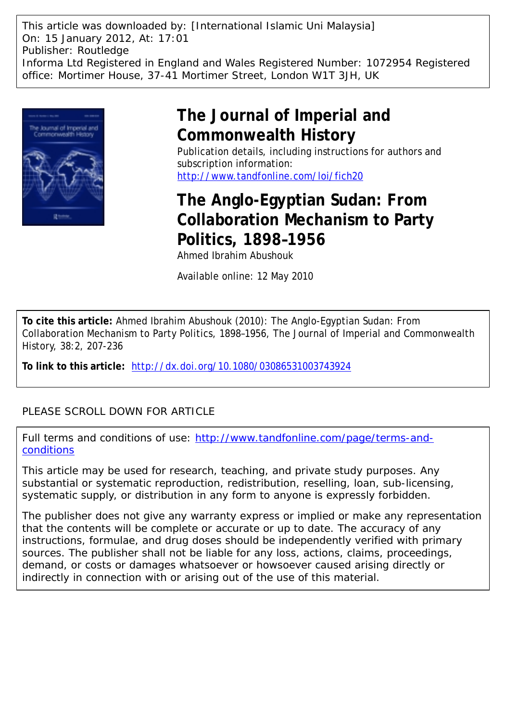This article was downloaded by: [International Islamic Uni Malaysia] On: 15 January 2012, At: 17:01 Publisher: Routledge Informa Ltd Registered in England and Wales Registered Number: 1072954 Registered office: Mortimer House, 37-41 Mortimer Street, London W1T 3JH, UK



## **The Journal of Imperial and Commonwealth History**

Publication details, including instructions for authors and subscription information: <http://www.tandfonline.com/loi/fich20>

## **The Anglo-Egyptian Sudan: From Collaboration Mechanism to Party Politics, 1898–1956**

Ahmed Ibrahim Abushouk

Available online: 12 May 2010

**To cite this article:** Ahmed Ibrahim Abushouk (2010): The Anglo-Egyptian Sudan: From Collaboration Mechanism to Party Politics, 1898–1956, The Journal of Imperial and Commonwealth History, 38:2, 207-236

**To link to this article:** <http://dx.doi.org/10.1080/03086531003743924>

### PLEASE SCROLL DOWN FOR ARTICLE

Full terms and conditions of use: [http://www.tandfonline.com/page/terms-and](http://www.tandfonline.com/page/terms-and-conditions)[conditions](http://www.tandfonline.com/page/terms-and-conditions)

This article may be used for research, teaching, and private study purposes. Any substantial or systematic reproduction, redistribution, reselling, loan, sub-licensing, systematic supply, or distribution in any form to anyone is expressly forbidden.

The publisher does not give any warranty express or implied or make any representation that the contents will be complete or accurate or up to date. The accuracy of any instructions, formulae, and drug doses should be independently verified with primary sources. The publisher shall not be liable for any loss, actions, claims, proceedings, demand, or costs or damages whatsoever or howsoever caused arising directly or indirectly in connection with or arising out of the use of this material.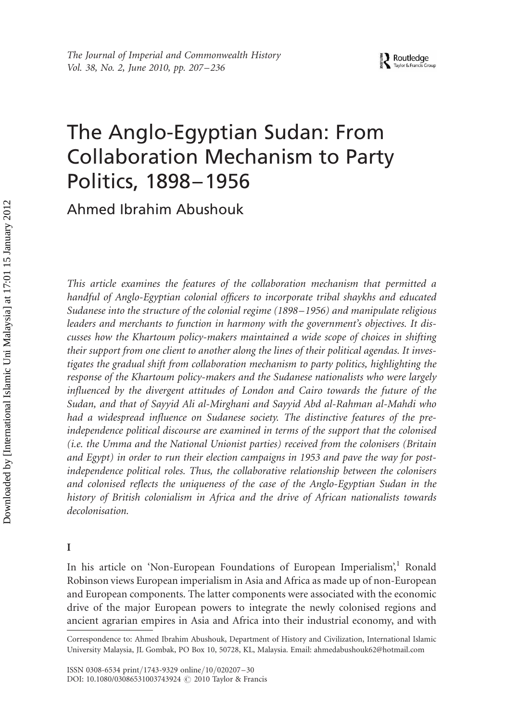# The Anglo-Egyptian Sudan: From Collaboration Mechanism to Party Politics, 1898–1956

Ahmed Ibrahim Abushouk

This article examines the features of the collaboration mechanism that permitted a handful of Anglo-Egyptian colonial officers to incorporate tribal shaykhs and educated Sudanese into the structure of the colonial regime (1898–1956) and manipulate religious leaders and merchants to function in harmony with the government's objectives. It discusses how the Khartoum policy-makers maintained a wide scope of choices in shifting their support from one client to another along the lines of their political agendas. It investigates the gradual shift from collaboration mechanism to party politics, highlighting the response of the Khartoum policy-makers and the Sudanese nationalists who were largely influenced by the divergent attitudes of London and Cairo towards the future of the Sudan, and that of Sayyid Ali al-Mirghani and Sayyid Abd al-Rahman al-Mahdi who had a widespread influence on Sudanese society. The distinctive features of the preindependence political discourse are examined in terms of the support that the colonised (i.e. the Umma and the National Unionist parties) received from the colonisers (Britain and Egypt) in order to run their election campaigns in 1953 and pave the way for postindependence political roles. Thus, the collaborative relationship between the colonisers and colonised reflects the uniqueness of the case of the Anglo-Egyptian Sudan in the history of British colonialism in Africa and the drive of African nationalists towards decolonisation.

#### I

In his article on 'Non-European Foundations of European Imperialism',<sup>1</sup> Ronald Robinson views European imperialism in Asia and Africa as made up of non-European and European components. The latter components were associated with the economic drive of the major European powers to integrate the newly colonised regions and ancient agrarian empires in Asia and Africa into their industrial economy, and with

ISSN 0308-6534 print/1743-9329 online/10/020207–30 DOI: 10.1080/03086531003743924 © 2010 Taylor & Francis

Correspondence to: Ahmed Ibrahim Abushouk, Department of History and Civilization, International Islamic University Malaysia, JL Gombak, PO Box 10, 50728, KL, Malaysia. Email: ahmedabushouk62@hotmail.com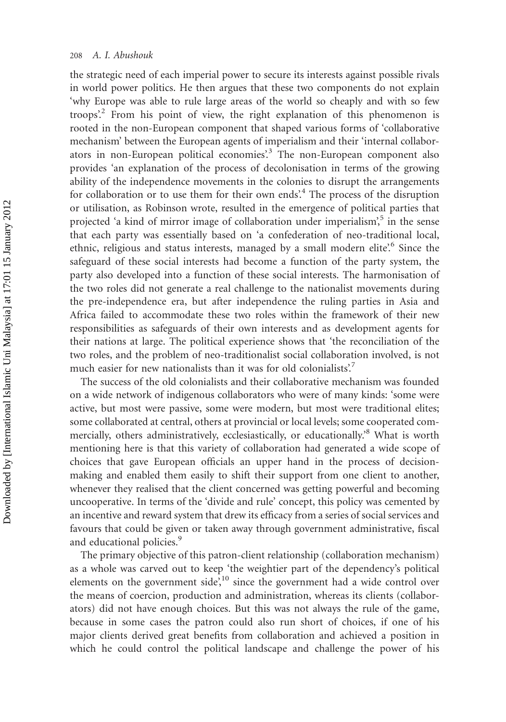the strategic need of each imperial power to secure its interests against possible rivals in world power politics. He then argues that these two components do not explain 'why Europe was able to rule large areas of the world so cheaply and with so few troops'.2 From his point of view, the right explanation of this phenomenon is rooted in the non-European component that shaped various forms of 'collaborative mechanism' between the European agents of imperialism and their 'internal collaborators in non-European political economies'.<sup>3</sup> The non-European component also provides 'an explanation of the process of decolonisation in terms of the growing ability of the independence movements in the colonies to disrupt the arrangements for collaboration or to use them for their own ends'.4 The process of the disruption or utilisation, as Robinson wrote, resulted in the emergence of political parties that projected 'a kind of mirror image of collaboration under imperialism',<sup>5</sup> in the sense that each party was essentially based on 'a confederation of neo-traditional local, ethnic, religious and status interests, managed by a small modern elite'.<sup>6</sup> Since the safeguard of these social interests had become a function of the party system, the party also developed into a function of these social interests. The harmonisation of the two roles did not generate a real challenge to the nationalist movements during the pre-independence era, but after independence the ruling parties in Asia and Africa failed to accommodate these two roles within the framework of their new responsibilities as safeguards of their own interests and as development agents for their nations at large. The political experience shows that 'the reconciliation of the two roles, and the problem of neo-traditionalist social collaboration involved, is not much easier for new nationalists than it was for old colonialists.<sup>7</sup>

The success of the old colonialists and their collaborative mechanism was founded on a wide network of indigenous collaborators who were of many kinds: 'some were active, but most were passive, some were modern, but most were traditional elites; some collaborated at central, others at provincial or local levels; some cooperated commercially, others administratively, ecclesiastically, or educationally.'8 What is worth mentioning here is that this variety of collaboration had generated a wide scope of choices that gave European officials an upper hand in the process of decisionmaking and enabled them easily to shift their support from one client to another, whenever they realised that the client concerned was getting powerful and becoming uncooperative. In terms of the 'divide and rule' concept, this policy was cemented by an incentive and reward system that drew its efficacy from a series of social services and favours that could be given or taken away through government administrative, fiscal and educational policies.<sup>9</sup>

The primary objective of this patron-client relationship (collaboration mechanism) as a whole was carved out to keep 'the weightier part of the dependency's political elements on the government side',<sup>10</sup> since the government had a wide control over the means of coercion, production and administration, whereas its clients (collaborators) did not have enough choices. But this was not always the rule of the game, because in some cases the patron could also run short of choices, if one of his major clients derived great benefits from collaboration and achieved a position in which he could control the political landscape and challenge the power of his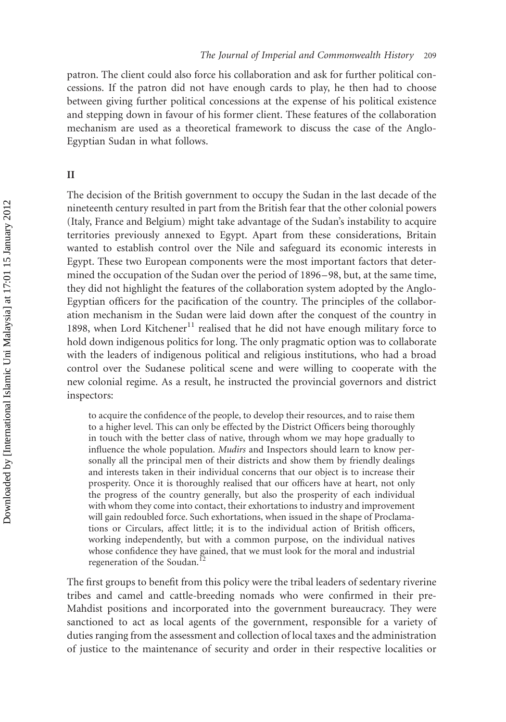patron. The client could also force his collaboration and ask for further political concessions. If the patron did not have enough cards to play, he then had to choose between giving further political concessions at the expense of his political existence and stepping down in favour of his former client. These features of the collaboration mechanism are used as a theoretical framework to discuss the case of the Anglo-Egyptian Sudan in what follows.

#### II

The decision of the British government to occupy the Sudan in the last decade of the nineteenth century resulted in part from the British fear that the other colonial powers (Italy, France and Belgium) might take advantage of the Sudan's instability to acquire territories previously annexed to Egypt. Apart from these considerations, Britain wanted to establish control over the Nile and safeguard its economic interests in Egypt. These two European components were the most important factors that determined the occupation of the Sudan over the period of 1896–98, but, at the same time, they did not highlight the features of the collaboration system adopted by the Anglo-Egyptian officers for the pacification of the country. The principles of the collaboration mechanism in the Sudan were laid down after the conquest of the country in 1898, when Lord Kitchener<sup>11</sup> realised that he did not have enough military force to hold down indigenous politics for long. The only pragmatic option was to collaborate with the leaders of indigenous political and religious institutions, who had a broad control over the Sudanese political scene and were willing to cooperate with the new colonial regime. As a result, he instructed the provincial governors and district inspectors:

to acquire the confidence of the people, to develop their resources, and to raise them to a higher level. This can only be effected by the District Officers being thoroughly in touch with the better class of native, through whom we may hope gradually to influence the whole population. *Mudirs* and Inspectors should learn to know personally all the principal men of their districts and show them by friendly dealings and interests taken in their individual concerns that our object is to increase their prosperity. Once it is thoroughly realised that our officers have at heart, not only the progress of the country generally, but also the prosperity of each individual with whom they come into contact, their exhortations to industry and improvement will gain redoubled force. Such exhortations, when issued in the shape of Proclamations or Circulars, affect little; it is to the individual action of British officers, working independently, but with a common purpose, on the individual natives whose confidence they have gained, that we must look for the moral and industrial regeneration of the Soudan.

The first groups to benefit from this policy were the tribal leaders of sedentary riverine tribes and camel and cattle-breeding nomads who were confirmed in their pre-Mahdist positions and incorporated into the government bureaucracy. They were sanctioned to act as local agents of the government, responsible for a variety of duties ranging from the assessment and collection of local taxes and the administration of justice to the maintenance of security and order in their respective localities or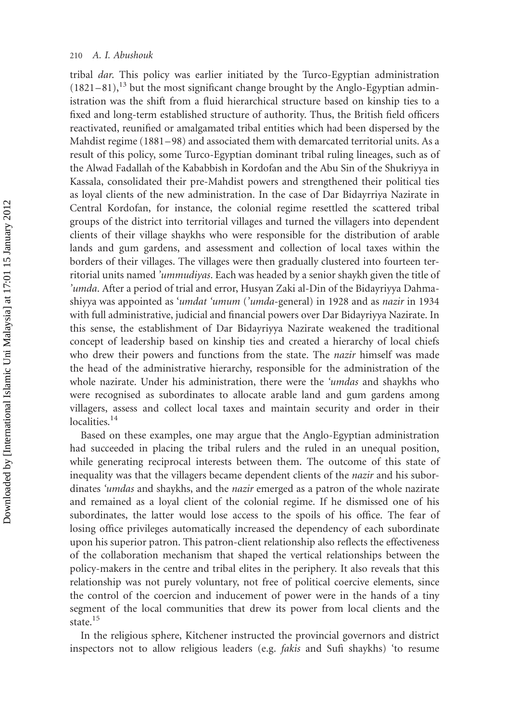tribal dar. This policy was earlier initiated by the Turco-Egyptian administration  $(1821-81)$ ,<sup>13</sup> but the most significant change brought by the Anglo-Egyptian administration was the shift from a fluid hierarchical structure based on kinship ties to a fixed and long-term established structure of authority. Thus, the British field officers reactivated, reunified or amalgamated tribal entities which had been dispersed by the Mahdist regime (1881–98) and associated them with demarcated territorial units. As a result of this policy, some Turco-Egyptian dominant tribal ruling lineages, such as of the Alwad Fadallah of the Kababbish in Kordofan and the Abu Sin of the Shukriyya in Kassala, consolidated their pre-Mahdist powers and strengthened their political ties as loyal clients of the new administration. In the case of Dar Bidayrriya Nazirate in Central Kordofan, for instance, the colonial regime resettled the scattered tribal groups of the district into territorial villages and turned the villagers into dependent clients of their village shaykhs who were responsible for the distribution of arable lands and gum gardens, and assessment and collection of local taxes within the borders of their villages. The villages were then gradually clustered into fourteen territorial units named 'ummudiyas. Each was headed by a senior shaykh given the title of 'umda. After a period of trial and error, Husyan Zaki al-Din of the Bidayriyya Dahmashiyya was appointed as 'umdat 'umum ('umda-general) in 1928 and as *nazir* in 1934 with full administrative, judicial and financial powers over Dar Bidayriyya Nazirate. In this sense, the establishment of Dar Bidayriyya Nazirate weakened the traditional concept of leadership based on kinship ties and created a hierarchy of local chiefs who drew their powers and functions from the state. The *nazir* himself was made the head of the administrative hierarchy, responsible for the administration of the whole nazirate. Under his administration, there were the 'umdas and shaykhs who were recognised as subordinates to allocate arable land and gum gardens among villagers, assess and collect local taxes and maintain security and order in their localities.<sup>14</sup>

Based on these examples, one may argue that the Anglo-Egyptian administration had succeeded in placing the tribal rulers and the ruled in an unequal position, while generating reciprocal interests between them. The outcome of this state of inequality was that the villagers became dependent clients of the nazir and his subordinates 'umdas and shaykhs, and the *nazir* emerged as a patron of the whole nazirate and remained as a loyal client of the colonial regime. If he dismissed one of his subordinates, the latter would lose access to the spoils of his office. The fear of losing office privileges automatically increased the dependency of each subordinate upon his superior patron. This patron-client relationship also reflects the effectiveness of the collaboration mechanism that shaped the vertical relationships between the policy-makers in the centre and tribal elites in the periphery. It also reveals that this relationship was not purely voluntary, not free of political coercive elements, since the control of the coercion and inducement of power were in the hands of a tiny segment of the local communities that drew its power from local clients and the state.<sup>15</sup>

In the religious sphere, Kitchener instructed the provincial governors and district inspectors not to allow religious leaders (e.g. fakis and Sufi shaykhs) 'to resume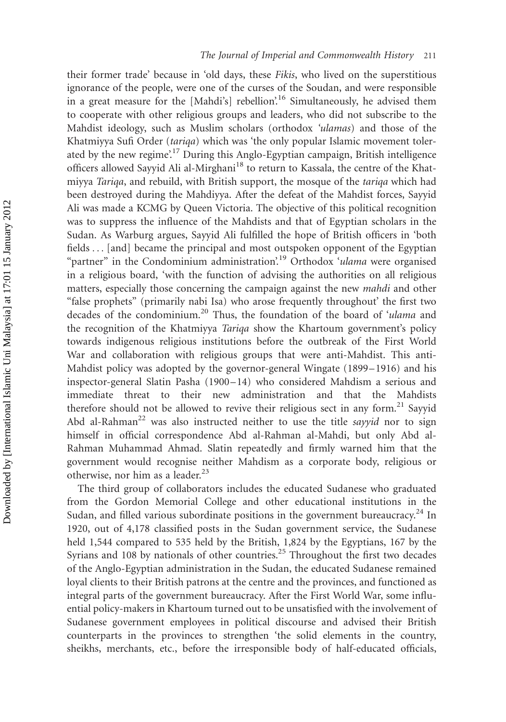their former trade' because in 'old days, these Fikis, who lived on the superstitious ignorance of the people, were one of the curses of the Soudan, and were responsible in a great measure for the [Mahdi's] rebellion'.<sup>16</sup> Simultaneously, he advised them to cooperate with other religious groups and leaders, who did not subscribe to the Mahdist ideology, such as Muslim scholars (orthodox 'ulamas) and those of the Khatmiyya Sufi Order (tariqa) which was 'the only popular Islamic movement tolerated by the new regime'.<sup>17</sup> During this Anglo-Egyptian campaign, British intelligence officers allowed Sayyid Ali al-Mirghani<sup>18</sup> to return to Kassala, the centre of the Khatmiyya Tariqa, and rebuild, with British support, the mosque of the tariqa which had been destroyed during the Mahdiyya. After the defeat of the Mahdist forces, Sayyid Ali was made a KCMG by Queen Victoria. The objective of this political recognition was to suppress the influence of the Mahdists and that of Egyptian scholars in the Sudan. As Warburg argues, Sayyid Ali fulfilled the hope of British officers in 'both fields ... [and] became the principal and most outspoken opponent of the Egyptian "partner" in the Condominium administration<sup>'19</sup> Orthodox 'ulama were organised in a religious board, 'with the function of advising the authorities on all religious matters, especially those concerning the campaign against the new mahdi and other "false prophets" (primarily nabi Isa) who arose frequently throughout' the first two decades of the condominium.<sup>20</sup> Thus, the foundation of the board of 'ulama and the recognition of the Khatmiyya Tariqa show the Khartoum government's policy towards indigenous religious institutions before the outbreak of the First World War and collaboration with religious groups that were anti-Mahdist. This anti-Mahdist policy was adopted by the governor-general Wingate (1899–1916) and his inspector-general Slatin Pasha (1900–14) who considered Mahdism a serious and immediate threat to their new administration and that the Mahdists therefore should not be allowed to revive their religious sect in any form.<sup>21</sup> Sayyid Abd al-Rahman<sup>22</sup> was also instructed neither to use the title sayyid nor to sign himself in official correspondence Abd al-Rahman al-Mahdi, but only Abd al-Rahman Muhammad Ahmad. Slatin repeatedly and firmly warned him that the government would recognise neither Mahdism as a corporate body, religious or otherwise, nor him as a leader.<sup>23</sup>

The third group of collaborators includes the educated Sudanese who graduated from the Gordon Memorial College and other educational institutions in the Sudan, and filled various subordinate positions in the government bureaucracy.<sup>24</sup> In 1920, out of 4,178 classified posts in the Sudan government service, the Sudanese held 1,544 compared to 535 held by the British, 1,824 by the Egyptians, 167 by the Syrians and 108 by nationals of other countries.<sup>25</sup> Throughout the first two decades of the Anglo-Egyptian administration in the Sudan, the educated Sudanese remained loyal clients to their British patrons at the centre and the provinces, and functioned as integral parts of the government bureaucracy. After the First World War, some influential policy-makers in Khartoum turned out to be unsatisfied with the involvement of Sudanese government employees in political discourse and advised their British counterparts in the provinces to strengthen 'the solid elements in the country, sheikhs, merchants, etc., before the irresponsible body of half-educated officials,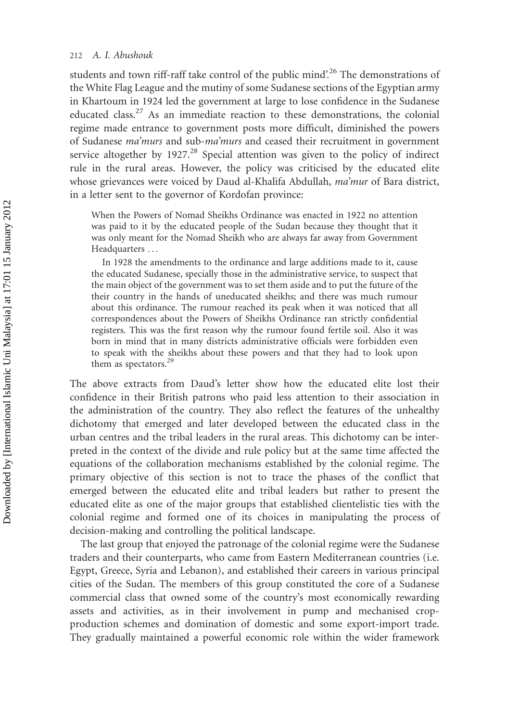#### 212 A. I. Abushouk

students and town riff-raff take control of the public mind'.<sup>26</sup> The demonstrations of the White Flag League and the mutiny of some Sudanese sections of the Egyptian army in Khartoum in 1924 led the government at large to lose confidence in the Sudanese educated class.<sup>27</sup> As an immediate reaction to these demonstrations, the colonial regime made entrance to government posts more difficult, diminished the powers of Sudanese ma'murs and sub-ma'murs and ceased their recruitment in government service altogether by  $1927<sup>28</sup>$  Special attention was given to the policy of indirect rule in the rural areas. However, the policy was criticised by the educated elite whose grievances were voiced by Daud al-Khalifa Abdullah, ma'mur of Bara district, in a letter sent to the governor of Kordofan province:

When the Powers of Nomad Sheikhs Ordinance was enacted in 1922 no attention was paid to it by the educated people of the Sudan because they thought that it was only meant for the Nomad Sheikh who are always far away from Government Headquarters ...

In 1928 the amendments to the ordinance and large additions made to it, cause the educated Sudanese, specially those in the administrative service, to suspect that the main object of the government was to set them aside and to put the future of the their country in the hands of uneducated sheikhs; and there was much rumour about this ordinance. The rumour reached its peak when it was noticed that all correspondences about the Powers of Sheikhs Ordinance ran strictly confidential registers. This was the first reason why the rumour found fertile soil. Also it was born in mind that in many districts administrative officials were forbidden even to speak with the sheikhs about these powers and that they had to look upon them as spectators.<sup>29</sup>

The above extracts from Daud's letter show how the educated elite lost their confidence in their British patrons who paid less attention to their association in the administration of the country. They also reflect the features of the unhealthy dichotomy that emerged and later developed between the educated class in the urban centres and the tribal leaders in the rural areas. This dichotomy can be interpreted in the context of the divide and rule policy but at the same time affected the equations of the collaboration mechanisms established by the colonial regime. The primary objective of this section is not to trace the phases of the conflict that emerged between the educated elite and tribal leaders but rather to present the educated elite as one of the major groups that established clientelistic ties with the colonial regime and formed one of its choices in manipulating the process of decision-making and controlling the political landscape.

The last group that enjoyed the patronage of the colonial regime were the Sudanese traders and their counterparts, who came from Eastern Mediterranean countries (i.e. Egypt, Greece, Syria and Lebanon), and established their careers in various principal cities of the Sudan. The members of this group constituted the core of a Sudanese commercial class that owned some of the country's most economically rewarding assets and activities, as in their involvement in pump and mechanised cropproduction schemes and domination of domestic and some export-import trade. They gradually maintained a powerful economic role within the wider framework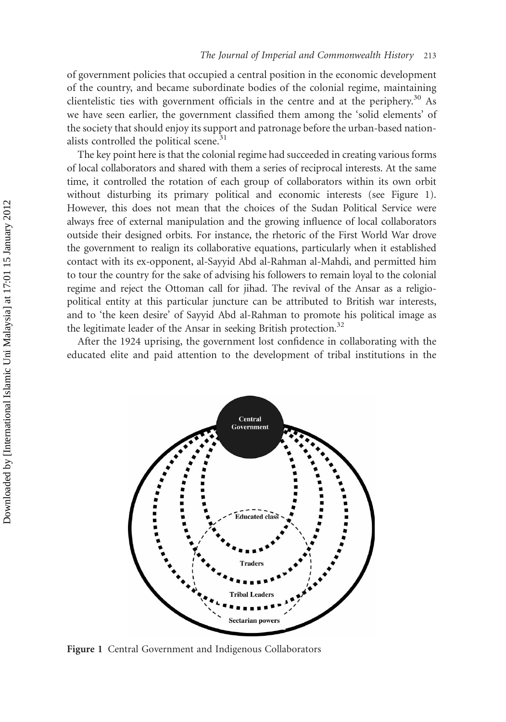of government policies that occupied a central position in the economic development of the country, and became subordinate bodies of the colonial regime, maintaining clientelistic ties with government officials in the centre and at the periphery.<sup>30</sup> As we have seen earlier, the government classified them among the 'solid elements' of the society that should enjoy its support and patronage before the urban-based nationalists controlled the political scene. $31$ 

The key point here is that the colonial regime had succeeded in creating various forms of local collaborators and shared with them a series of reciprocal interests. At the same time, it controlled the rotation of each group of collaborators within its own orbit without disturbing its primary political and economic interests (see Figure 1). However, this does not mean that the choices of the Sudan Political Service were always free of external manipulation and the growing influence of local collaborators outside their designed orbits. For instance, the rhetoric of the First World War drove the government to realign its collaborative equations, particularly when it established contact with its ex-opponent, al-Sayyid Abd al-Rahman al-Mahdi, and permitted him to tour the country for the sake of advising his followers to remain loyal to the colonial regime and reject the Ottoman call for jihad. The revival of the Ansar as a religiopolitical entity at this particular juncture can be attributed to British war interests, and to 'the keen desire' of Sayyid Abd al-Rahman to promote his political image as the legitimate leader of the Ansar in seeking British protection.<sup>32</sup>

After the 1924 uprising, the government lost confidence in collaborating with the educated elite and paid attention to the development of tribal institutions in the



Figure 1 Central Government and Indigenous Collaborators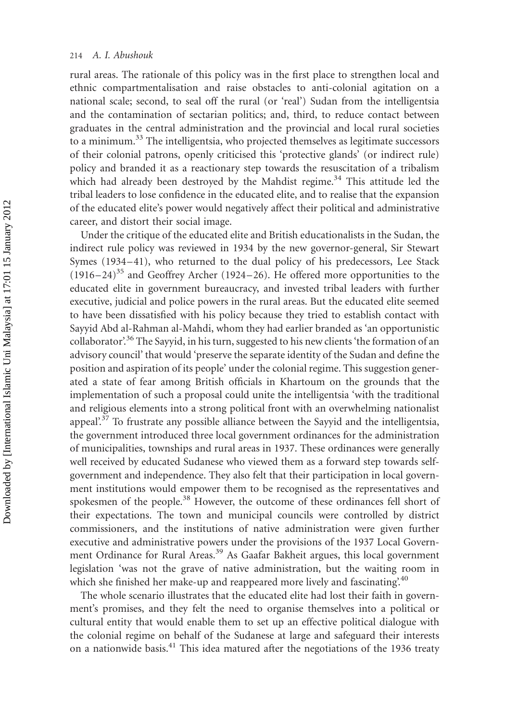rural areas. The rationale of this policy was in the first place to strengthen local and ethnic compartmentalisation and raise obstacles to anti-colonial agitation on a national scale; second, to seal off the rural (or 'real') Sudan from the intelligentsia and the contamination of sectarian politics; and, third, to reduce contact between graduates in the central administration and the provincial and local rural societies to a minimum.33 The intelligentsia, who projected themselves as legitimate successors of their colonial patrons, openly criticised this 'protective glands' (or indirect rule) policy and branded it as a reactionary step towards the resuscitation of a tribalism which had already been destroyed by the Mahdist regime.<sup>34</sup> This attitude led the tribal leaders to lose confidence in the educated elite, and to realise that the expansion of the educated elite's power would negatively affect their political and administrative career, and distort their social image.

Under the critique of the educated elite and British educationalists in the Sudan, the indirect rule policy was reviewed in 1934 by the new governor-general, Sir Stewart Symes (1934–41), who returned to the dual policy of his predecessors, Lee Stack  $(1916-24)^{35}$  and Geoffrey Archer (1924–26). He offered more opportunities to the educated elite in government bureaucracy, and invested tribal leaders with further executive, judicial and police powers in the rural areas. But the educated elite seemed to have been dissatisfied with his policy because they tried to establish contact with Sayyid Abd al-Rahman al-Mahdi, whom they had earlier branded as 'an opportunistic collaborator'.<sup>36</sup> The Sayyid, in his turn, suggested to his new clients 'the formation of an advisory council' that would 'preserve the separate identity of the Sudan and define the position and aspiration of its people' under the colonial regime. This suggestion generated a state of fear among British officials in Khartoum on the grounds that the implementation of such a proposal could unite the intelligentsia 'with the traditional and religious elements into a strong political front with an overwhelming nationalist appeal'. $37$  To frustrate any possible alliance between the Sayyid and the intelligentsia, the government introduced three local government ordinances for the administration of municipalities, townships and rural areas in 1937. These ordinances were generally well received by educated Sudanese who viewed them as a forward step towards selfgovernment and independence. They also felt that their participation in local government institutions would empower them to be recognised as the representatives and spokesmen of the people.<sup>38</sup> However, the outcome of these ordinances fell short of their expectations. The town and municipal councils were controlled by district commissioners, and the institutions of native administration were given further executive and administrative powers under the provisions of the 1937 Local Government Ordinance for Rural Areas.<sup>39</sup> As Gaafar Bakheit argues, this local government legislation 'was not the grave of native administration, but the waiting room in which she finished her make-up and reappeared more lively and fascinating.<sup>40</sup>

The whole scenario illustrates that the educated elite had lost their faith in government's promises, and they felt the need to organise themselves into a political or cultural entity that would enable them to set up an effective political dialogue with the colonial regime on behalf of the Sudanese at large and safeguard their interests on a nationwide basis.41 This idea matured after the negotiations of the 1936 treaty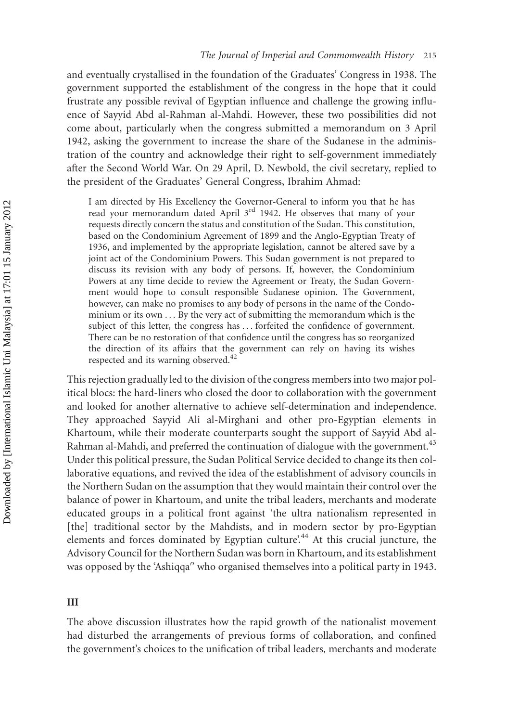and eventually crystallised in the foundation of the Graduates' Congress in 1938. The government supported the establishment of the congress in the hope that it could frustrate any possible revival of Egyptian influence and challenge the growing influence of Sayyid Abd al-Rahman al-Mahdi. However, these two possibilities did not come about, particularly when the congress submitted a memorandum on 3 April 1942, asking the government to increase the share of the Sudanese in the administration of the country and acknowledge their right to self-government immediately after the Second World War. On 29 April, D. Newbold, the civil secretary, replied to the president of the Graduates' General Congress, Ibrahim Ahmad:

I am directed by His Excellency the Governor-General to inform you that he has read your memorandum dated April  $3<sup>rd</sup>$  1942. He observes that many of your requests directly concern the status and constitution of the Sudan. This constitution, based on the Condominium Agreement of 1899 and the Anglo-Egyptian Treaty of 1936, and implemented by the appropriate legislation, cannot be altered save by a joint act of the Condominium Powers. This Sudan government is not prepared to discuss its revision with any body of persons. If, however, the Condominium Powers at any time decide to review the Agreement or Treaty, the Sudan Government would hope to consult responsible Sudanese opinion. The Government, however, can make no promises to any body of persons in the name of the Condominium or its own ... By the very act of submitting the memorandum which is the subject of this letter, the congress has ... forfeited the confidence of government. There can be no restoration of that confidence until the congress has so reorganized the direction of its affairs that the government can rely on having its wishes respected and its warning observed.<sup>42</sup>

This rejection gradually led to the division of the congress members into two major political blocs: the hard-liners who closed the door to collaboration with the government and looked for another alternative to achieve self-determination and independence. They approached Sayyid Ali al-Mirghani and other pro-Egyptian elements in Khartoum, while their moderate counterparts sought the support of Sayyid Abd al-Rahman al-Mahdi, and preferred the continuation of dialogue with the government.<sup>43</sup> Under this political pressure, the Sudan Political Service decided to change its then collaborative equations, and revived the idea of the establishment of advisory councils in the Northern Sudan on the assumption that they would maintain their control over the balance of power in Khartoum, and unite the tribal leaders, merchants and moderate educated groups in a political front against 'the ultra nationalism represented in [the] traditional sector by the Mahdists, and in modern sector by pro-Egyptian elements and forces dominated by Egyptian culture'.<sup>44</sup> At this crucial juncture, the Advisory Council for the Northern Sudan was born in Khartoum, and its establishment was opposed by the 'Ashiqqa′ ' who organised themselves into a political party in 1943.

#### III

The above discussion illustrates how the rapid growth of the nationalist movement had disturbed the arrangements of previous forms of collaboration, and confined the government's choices to the unification of tribal leaders, merchants and moderate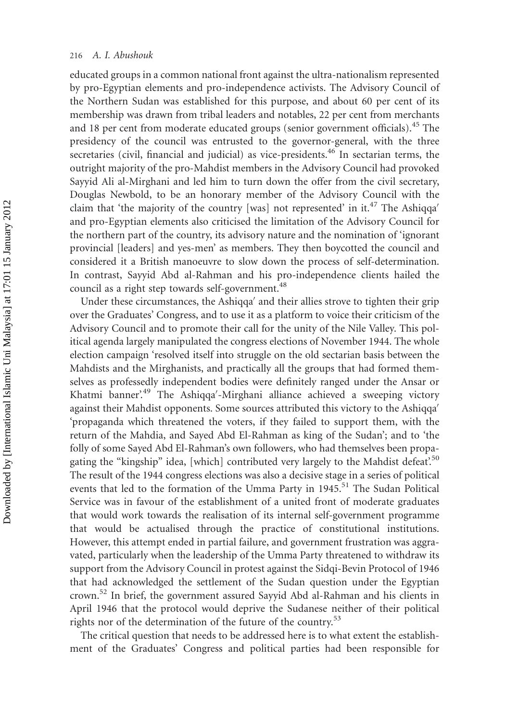educated groups in a common national front against the ultra-nationalism represented by pro-Egyptian elements and pro-independence activists. The Advisory Council of the Northern Sudan was established for this purpose, and about 60 per cent of its membership was drawn from tribal leaders and notables, 22 per cent from merchants and 18 per cent from moderate educated groups (senior government officials).<sup>45</sup> The presidency of the council was entrusted to the governor-general, with the three secretaries (civil, financial and judicial) as vice-presidents. $46$  In sectarian terms, the outright majority of the pro-Mahdist members in the Advisory Council had provoked Sayyid Ali al-Mirghani and led him to turn down the offer from the civil secretary, Douglas Newbold, to be an honorary member of the Advisory Council with the claim that 'the majority of the country [was] not represented' in it.<sup>47</sup> The Ashiqqa' and pro-Egyptian elements also criticised the limitation of the Advisory Council for the northern part of the country, its advisory nature and the nomination of 'ignorant provincial [leaders] and yes-men' as members. They then boycotted the council and considered it a British manoeuvre to slow down the process of self-determination. In contrast, Sayyid Abd al-Rahman and his pro-independence clients hailed the council as a right step towards self-government.<sup>48</sup>

Under these circumstances, the Ashiqqa′ and their allies strove to tighten their grip over the Graduates' Congress, and to use it as a platform to voice their criticism of the Advisory Council and to promote their call for the unity of the Nile Valley. This political agenda largely manipulated the congress elections of November 1944. The whole election campaign 'resolved itself into struggle on the old sectarian basis between the Mahdists and the Mirghanists, and practically all the groups that had formed themselves as professedly independent bodies were definitely ranged under the Ansar or Khatmi banner<sup>'49</sup> The Ashiqqa'-Mirghani alliance achieved a sweeping victory against their Mahdist opponents. Some sources attributed this victory to the Ashiqqa′ 'propaganda which threatened the voters, if they failed to support them, with the return of the Mahdia, and Sayed Abd El-Rahman as king of the Sudan'; and to 'the folly of some Sayed Abd El-Rahman's own followers, who had themselves been propagating the "kingship" idea, [which] contributed very largely to the Mahdist defeat.<sup>50</sup> The result of the 1944 congress elections was also a decisive stage in a series of political events that led to the formation of the Umma Party in 1945.<sup>51</sup> The Sudan Political Service was in favour of the establishment of a united front of moderate graduates that would work towards the realisation of its internal self-government programme that would be actualised through the practice of constitutional institutions. However, this attempt ended in partial failure, and government frustration was aggravated, particularly when the leadership of the Umma Party threatened to withdraw its support from the Advisory Council in protest against the Sidqi-Bevin Protocol of 1946 that had acknowledged the settlement of the Sudan question under the Egyptian crown.52 In brief, the government assured Sayyid Abd al-Rahman and his clients in April 1946 that the protocol would deprive the Sudanese neither of their political rights nor of the determination of the future of the country.53

The critical question that needs to be addressed here is to what extent the establishment of the Graduates' Congress and political parties had been responsible for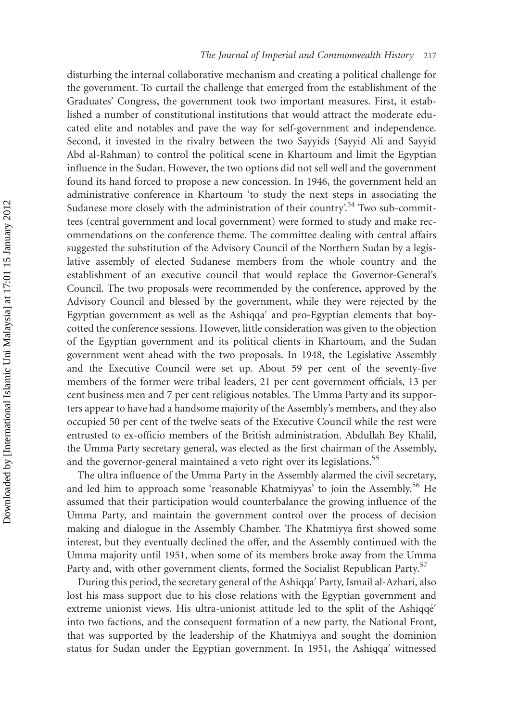disturbing the internal collaborative mechanism and creating a political challenge for the government. To curtail the challenge that emerged from the establishment of the Graduates' Congress, the government took two important measures. First, it established a number of constitutional institutions that would attract the moderate educated elite and notables and pave the way for self-government and independence. Second, it invested in the rivalry between the two Sayyids (Sayyid Ali and Sayyid Abd al-Rahman) to control the political scene in Khartoum and limit the Egyptian influence in the Sudan. However, the two options did not sell well and the government found its hand forced to propose a new concession. In 1946, the government held an administrative conference in Khartoum 'to study the next steps in associating the Sudanese more closely with the administration of their country.<sup>54</sup> Two sub-committees (central government and local government) were formed to study and make recommendations on the conference theme. The committee dealing with central affairs suggested the substitution of the Advisory Council of the Northern Sudan by a legislative assembly of elected Sudanese members from the whole country and the establishment of an executive council that would replace the Governor-General's Council. The two proposals were recommended by the conference, approved by the Advisory Council and blessed by the government, while they were rejected by the Egyptian government as well as the Ashiqqa′ and pro-Egyptian elements that boycotted the conference sessions. However, little consideration was given to the objection of the Egyptian government and its political clients in Khartoum, and the Sudan government went ahead with the two proposals. In 1948, the Legislative Assembly and the Executive Council were set up. About 59 per cent of the seventy-five members of the former were tribal leaders, 21 per cent government officials, 13 per cent business men and 7 per cent religious notables. The Umma Party and its supporters appear to have had a handsome majority of the Assembly's members, and they also occupied 50 per cent of the twelve seats of the Executive Council while the rest were entrusted to ex-officio members of the British administration. Abdullah Bey Khalil, the Umma Party secretary general, was elected as the first chairman of the Assembly, and the governor-general maintained a veto right over its legislations.<sup>55</sup>

The ultra influence of the Umma Party in the Assembly alarmed the civil secretary, and led him to approach some 'reasonable Khatmiyyas' to join the Assembly.<sup>56</sup> He assumed that their participation would counterbalance the growing influence of the Umma Party, and maintain the government control over the process of decision making and dialogue in the Assembly Chamber. The Khatmiyya first showed some interest, but they eventually declined the offer, and the Assembly continued with the Umma majority until 1951, when some of its members broke away from the Umma Party and, with other government clients, formed the Socialist Republican Party.<sup>57</sup>

During this period, the secretary general of the Ashiqqa′ Party, Ismail al-Azhari, also lost his mass support due to his close relations with the Egyptian government and extreme unionist views. His ultra-unionist attitude led to the split of the Ashiqqé' into two factions, and the consequent formation of a new party, the National Front, that was supported by the leadership of the Khatmiyya and sought the dominion status for Sudan under the Egyptian government. In 1951, the Ashiqqa′ witnessed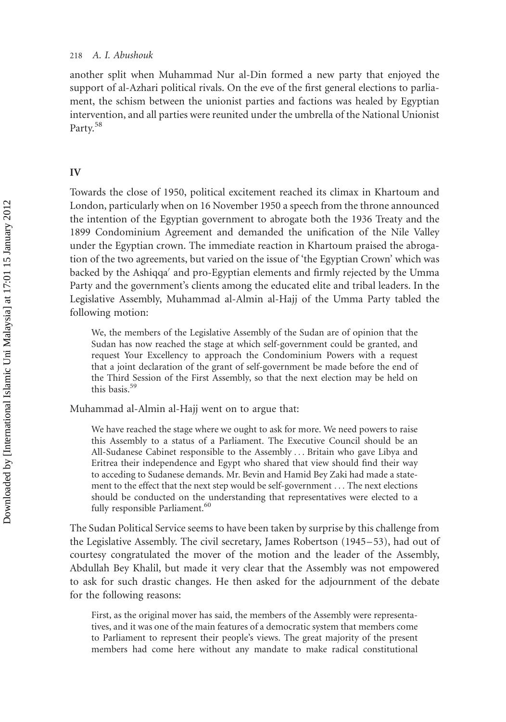#### 218 A. I. Abushouk

another split when Muhammad Nur al-Din formed a new party that enjoyed the support of al-Azhari political rivals. On the eve of the first general elections to parliament, the schism between the unionist parties and factions was healed by Egyptian intervention, and all parties were reunited under the umbrella of the National Unionist Party.<sup>58</sup>

#### IV

Towards the close of 1950, political excitement reached its climax in Khartoum and London, particularly when on 16 November 1950 a speech from the throne announced the intention of the Egyptian government to abrogate both the 1936 Treaty and the 1899 Condominium Agreement and demanded the unification of the Nile Valley under the Egyptian crown. The immediate reaction in Khartoum praised the abrogation of the two agreements, but varied on the issue of 'the Egyptian Crown' which was backed by the Ashiqqa′ and pro-Egyptian elements and firmly rejected by the Umma Party and the government's clients among the educated elite and tribal leaders. In the Legislative Assembly, Muhammad al-Almin al-Hajj of the Umma Party tabled the following motion:

We, the members of the Legislative Assembly of the Sudan are of opinion that the Sudan has now reached the stage at which self-government could be granted, and request Your Excellency to approach the Condominium Powers with a request that a joint declaration of the grant of self-government be made before the end of the Third Session of the First Assembly, so that the next election may be held on this basis.<sup>59</sup>

Muhammad al-Almin al-Hajj went on to argue that:

We have reached the stage where we ought to ask for more. We need powers to raise this Assembly to a status of a Parliament. The Executive Council should be an All-Sudanese Cabinet responsible to the Assembly ... Britain who gave Libya and Eritrea their independence and Egypt who shared that view should find their way to acceding to Sudanese demands. Mr. Bevin and Hamid Bey Zaki had made a statement to the effect that the next step would be self-government ... The next elections should be conducted on the understanding that representatives were elected to a fully responsible Parliament.<sup>60</sup>

The Sudan Political Service seems to have been taken by surprise by this challenge from the Legislative Assembly. The civil secretary, James Robertson (1945–53), had out of courtesy congratulated the mover of the motion and the leader of the Assembly, Abdullah Bey Khalil, but made it very clear that the Assembly was not empowered to ask for such drastic changes. He then asked for the adjournment of the debate for the following reasons:

First, as the original mover has said, the members of the Assembly were representatives, and it was one of the main features of a democratic system that members come to Parliament to represent their people's views. The great majority of the present members had come here without any mandate to make radical constitutional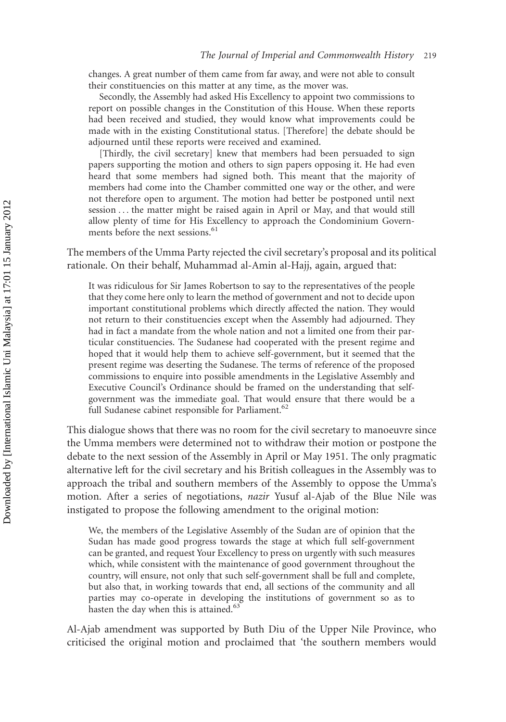changes. A great number of them came from far away, and were not able to consult their constituencies on this matter at any time, as the mover was.

Secondly, the Assembly had asked His Excellency to appoint two commissions to report on possible changes in the Constitution of this House. When these reports had been received and studied, they would know what improvements could be made with in the existing Constitutional status. [Therefore] the debate should be adjourned until these reports were received and examined.

[Thirdly, the civil secretary] knew that members had been persuaded to sign papers supporting the motion and others to sign papers opposing it. He had even heard that some members had signed both. This meant that the majority of members had come into the Chamber committed one way or the other, and were not therefore open to argument. The motion had better be postponed until next session ... the matter might be raised again in April or May, and that would still allow plenty of time for His Excellency to approach the Condominium Governments before the next sessions.<sup>61</sup>

The members of the Umma Party rejected the civil secretary's proposal and its political rationale. On their behalf, Muhammad al-Amin al-Hajj, again, argued that:

It was ridiculous for Sir James Robertson to say to the representatives of the people that they come here only to learn the method of government and not to decide upon important constitutional problems which directly affected the nation. They would not return to their constituencies except when the Assembly had adjourned. They had in fact a mandate from the whole nation and not a limited one from their particular constituencies. The Sudanese had cooperated with the present regime and hoped that it would help them to achieve self-government, but it seemed that the present regime was deserting the Sudanese. The terms of reference of the proposed commissions to enquire into possible amendments in the Legislative Assembly and Executive Council's Ordinance should be framed on the understanding that selfgovernment was the immediate goal. That would ensure that there would be a full Sudanese cabinet responsible for Parliament.<sup>62</sup>

This dialogue shows that there was no room for the civil secretary to manoeuvre since the Umma members were determined not to withdraw their motion or postpone the debate to the next session of the Assembly in April or May 1951. The only pragmatic alternative left for the civil secretary and his British colleagues in the Assembly was to approach the tribal and southern members of the Assembly to oppose the Umma's motion. After a series of negotiations, nazir Yusuf al-Ajab of the Blue Nile was instigated to propose the following amendment to the original motion:

We, the members of the Legislative Assembly of the Sudan are of opinion that the Sudan has made good progress towards the stage at which full self-government can be granted, and request Your Excellency to press on urgently with such measures which, while consistent with the maintenance of good government throughout the country, will ensure, not only that such self-government shall be full and complete, but also that, in working towards that end, all sections of the community and all parties may co-operate in developing the institutions of government so as to hasten the day when this is attained.<sup>63</sup>

Al-Ajab amendment was supported by Buth Diu of the Upper Nile Province, who criticised the original motion and proclaimed that 'the southern members would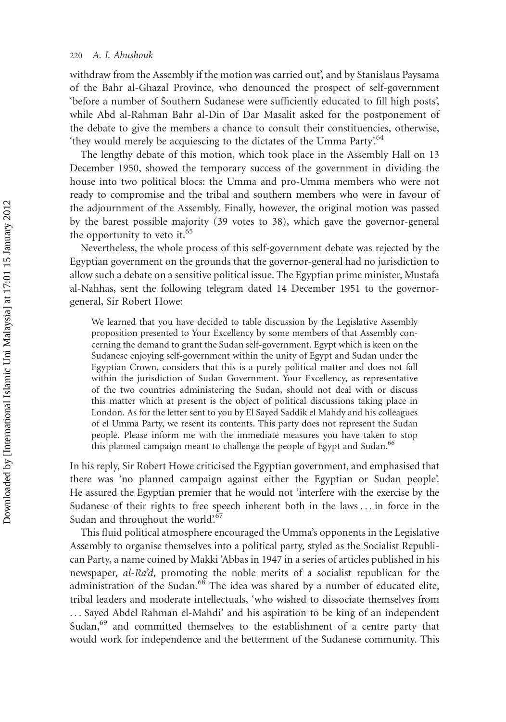withdraw from the Assembly if the motion was carried out', and by Stanislaus Paysama of the Bahr al-Ghazal Province, who denounced the prospect of self-government 'before a number of Southern Sudanese were sufficiently educated to fill high posts', while Abd al-Rahman Bahr al-Din of Dar Masalit asked for the postponement of the debate to give the members a chance to consult their constituencies, otherwise, 'they would merely be acquiescing to the dictates of the Umma Party'.<sup>64</sup>

The lengthy debate of this motion, which took place in the Assembly Hall on 13 December 1950, showed the temporary success of the government in dividing the house into two political blocs: the Umma and pro-Umma members who were not ready to compromise and the tribal and southern members who were in favour of the adjournment of the Assembly. Finally, however, the original motion was passed by the barest possible majority (39 votes to 38), which gave the governor-general the opportunity to veto it.<sup>65</sup>

Nevertheless, the whole process of this self-government debate was rejected by the Egyptian government on the grounds that the governor-general had no jurisdiction to allow such a debate on a sensitive political issue. The Egyptian prime minister, Mustafa al-Nahhas, sent the following telegram dated 14 December 1951 to the governorgeneral, Sir Robert Howe:

We learned that you have decided to table discussion by the Legislative Assembly proposition presented to Your Excellency by some members of that Assembly concerning the demand to grant the Sudan self-government. Egypt which is keen on the Sudanese enjoying self-government within the unity of Egypt and Sudan under the Egyptian Crown, considers that this is a purely political matter and does not fall within the jurisdiction of Sudan Government. Your Excellency, as representative of the two countries administering the Sudan, should not deal with or discuss this matter which at present is the object of political discussions taking place in London. As for the letter sent to you by El Sayed Saddik el Mahdy and his colleagues of el Umma Party, we resent its contents. This party does not represent the Sudan people. Please inform me with the immediate measures you have taken to stop this planned campaign meant to challenge the people of Egypt and Sudan.<sup>66</sup>

In his reply, Sir Robert Howe criticised the Egyptian government, and emphasised that there was 'no planned campaign against either the Egyptian or Sudan people'. He assured the Egyptian premier that he would not 'interfere with the exercise by the Sudanese of their rights to free speech inherent both in the laws ... in force in the Sudan and throughout the world'.<sup>67</sup>

This fluid political atmosphere encouraged the Umma's opponents in the Legislative Assembly to organise themselves into a political party, styled as the Socialist Republican Party, a name coined by Makki 'Abbas in 1947 in a series of articles published in his newspaper, al-Ra'd, promoting the noble merits of a socialist republican for the administration of the Sudan.<sup>68</sup> The idea was shared by a number of educated elite, tribal leaders and moderate intellectuals, 'who wished to dissociate themselves from ... Sayed Abdel Rahman el-Mahdi' and his aspiration to be king of an independent Sudan,<sup>69</sup> and committed themselves to the establishment of a centre party that would work for independence and the betterment of the Sudanese community. This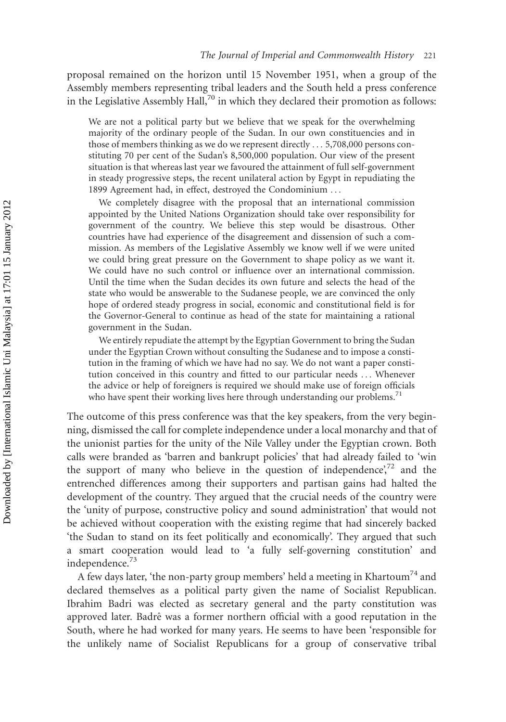proposal remained on the horizon until 15 November 1951, when a group of the Assembly members representing tribal leaders and the South held a press conference in the Legislative Assembly Hall, $^{70}$  in which they declared their promotion as follows:

We are not a political party but we believe that we speak for the overwhelming majority of the ordinary people of the Sudan. In our own constituencies and in those of members thinking as we do we represent directly ... 5,708,000 persons constituting 70 per cent of the Sudan's 8,500,000 population. Our view of the present situation is that whereas last year we favoured the attainment of full self-government in steady progressive steps, the recent unilateral action by Egypt in repudiating the 1899 Agreement had, in effect, destroyed the Condominium ...

We completely disagree with the proposal that an international commission appointed by the United Nations Organization should take over responsibility for government of the country. We believe this step would be disastrous. Other countries have had experience of the disagreement and dissension of such a commission. As members of the Legislative Assembly we know well if we were united we could bring great pressure on the Government to shape policy as we want it. We could have no such control or influence over an international commission. Until the time when the Sudan decides its own future and selects the head of the state who would be answerable to the Sudanese people, we are convinced the only hope of ordered steady progress in social, economic and constitutional field is for the Governor-General to continue as head of the state for maintaining a rational government in the Sudan.

We entirely repudiate the attempt by the Egyptian Government to bring the Sudan under the Egyptian Crown without consulting the Sudanese and to impose a constitution in the framing of which we have had no say. We do not want a paper constitution conceived in this country and fitted to our particular needs ... Whenever the advice or help of foreigners is required we should make use of foreign officials who have spent their working lives here through understanding our problems.<sup>71</sup>

The outcome of this press conference was that the key speakers, from the very beginning, dismissed the call for complete independence under a local monarchy and that of the unionist parties for the unity of the Nile Valley under the Egyptian crown. Both calls were branded as 'barren and bankrupt policies' that had already failed to 'win the support of many who believe in the question of independence', $72$  and the entrenched differences among their supporters and partisan gains had halted the development of the country. They argued that the crucial needs of the country were the 'unity of purpose, constructive policy and sound administration' that would not be achieved without cooperation with the existing regime that had sincerely backed 'the Sudan to stand on its feet politically and economically'. They argued that such a smart cooperation would lead to 'a fully self-governing constitution' and independence.<sup>73</sup>

A few days later, 'the non-party group members' held a meeting in Khartoum<sup>74</sup> and declared themselves as a political party given the name of Socialist Republican. Ibrahim Badri was elected as secretary general and the party constitution was approved later. Badrê was a former northern official with a good reputation in the South, where he had worked for many years. He seems to have been 'responsible for the unlikely name of Socialist Republicans for a group of conservative tribal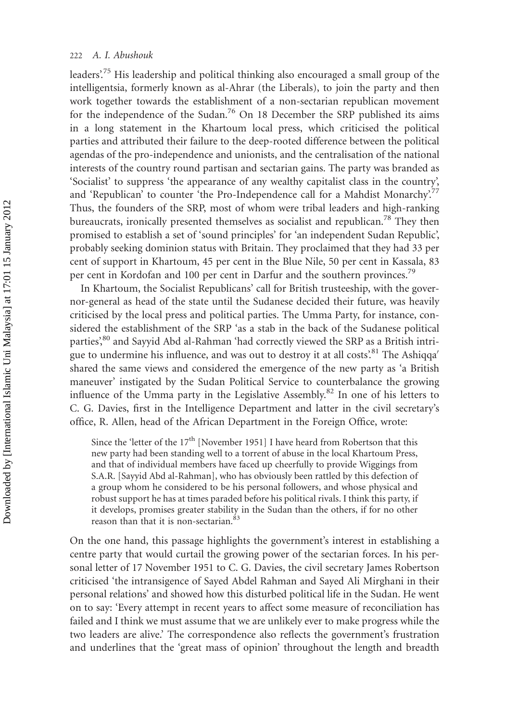leaders'.<sup>75</sup> His leadership and political thinking also encouraged a small group of the intelligentsia, formerly known as al-Ahrar (the Liberals), to join the party and then work together towards the establishment of a non-sectarian republican movement for the independence of the Sudan.<sup>76</sup> On 18 December the SRP published its aims in a long statement in the Khartoum local press, which criticised the political parties and attributed their failure to the deep-rooted difference between the political agendas of the pro-independence and unionists, and the centralisation of the national interests of the country round partisan and sectarian gains. The party was branded as 'Socialist' to suppress 'the appearance of any wealthy capitalist class in the country', and 'Republican' to counter 'the Pro-Independence call for a Mahdist Monarchy.<sup>77</sup> Thus, the founders of the SRP, most of whom were tribal leaders and high-ranking bureaucrats, ironically presented themselves as socialist and republican.<sup>78</sup> They then promised to establish a set of 'sound principles' for 'an independent Sudan Republic', probably seeking dominion status with Britain. They proclaimed that they had 33 per cent of support in Khartoum, 45 per cent in the Blue Nile, 50 per cent in Kassala, 83 per cent in Kordofan and 100 per cent in Darfur and the southern provinces.<sup>79</sup>

In Khartoum, the Socialist Republicans' call for British trusteeship, with the governor-general as head of the state until the Sudanese decided their future, was heavily criticised by the local press and political parties. The Umma Party, for instance, considered the establishment of the SRP 'as a stab in the back of the Sudanese political parties',<sup>80</sup> and Sayyid Abd al-Rahman 'had correctly viewed the SRP as a British intrigue to undermine his influence, and was out to destroy it at all costs'.<sup>81</sup> The Ashiqqa' shared the same views and considered the emergence of the new party as 'a British maneuver' instigated by the Sudan Political Service to counterbalance the growing influence of the Umma party in the Legislative Assembly.<sup>82</sup> In one of his letters to C. G. Davies, first in the Intelligence Department and latter in the civil secretary's office, R. Allen, head of the African Department in the Foreign Office, wrote:

Since the 'letter of the  $17<sup>th</sup>$  [November 1951] I have heard from Robertson that this new party had been standing well to a torrent of abuse in the local Khartoum Press, and that of individual members have faced up cheerfully to provide Wiggings from S.A.R. [Sayyid Abd al-Rahman], who has obviously been rattled by this defection of a group whom he considered to be his personal followers, and whose physical and robust support he has at times paraded before his political rivals. I think this party, if it develops, promises greater stability in the Sudan than the others, if for no other reason than that it is non-sectarian.<sup>83</sup>

On the one hand, this passage highlights the government's interest in establishing a centre party that would curtail the growing power of the sectarian forces. In his personal letter of 17 November 1951 to C. G. Davies, the civil secretary James Robertson criticised 'the intransigence of Sayed Abdel Rahman and Sayed Ali Mirghani in their personal relations' and showed how this disturbed political life in the Sudan. He went on to say: 'Every attempt in recent years to affect some measure of reconciliation has failed and I think we must assume that we are unlikely ever to make progress while the two leaders are alive.' The correspondence also reflects the government's frustration and underlines that the 'great mass of opinion' throughout the length and breadth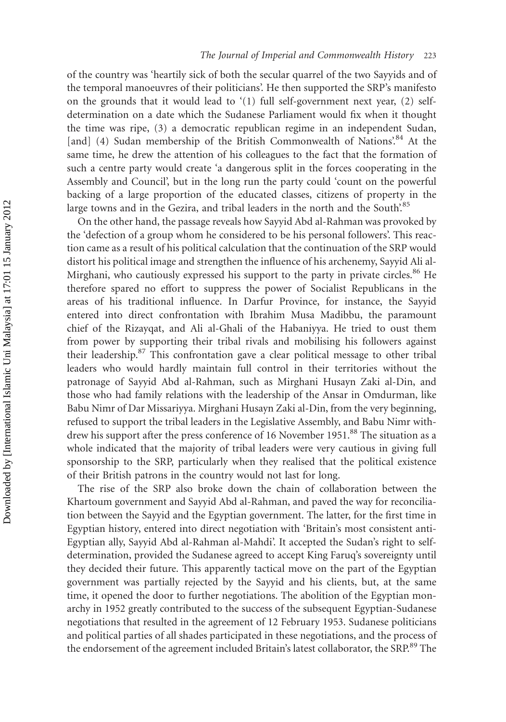of the country was 'heartily sick of both the secular quarrel of the two Sayyids and of the temporal manoeuvres of their politicians'. He then supported the SRP's manifesto on the grounds that it would lead to '(1) full self-government next year, (2) selfdetermination on a date which the Sudanese Parliament would fix when it thought the time was ripe, (3) a democratic republican regime in an independent Sudan, [and] (4) Sudan membership of the British Commonwealth of Nations'.84 At the same time, he drew the attention of his colleagues to the fact that the formation of such a centre party would create 'a dangerous split in the forces cooperating in the Assembly and Council', but in the long run the party could 'count on the powerful backing of a large proportion of the educated classes, citizens of property in the large towns and in the Gezira, and tribal leaders in the north and the South'.<sup>85</sup>

On the other hand, the passage reveals how Sayyid Abd al-Rahman was provoked by the 'defection of a group whom he considered to be his personal followers'. This reaction came as a result of his political calculation that the continuation of the SRP would distort his political image and strengthen the influence of his archenemy, Sayyid Ali al-Mirghani, who cautiously expressed his support to the party in private circles.<sup>86</sup> He therefore spared no effort to suppress the power of Socialist Republicans in the areas of his traditional influence. In Darfur Province, for instance, the Sayyid entered into direct confrontation with Ibrahim Musa Madibbu, the paramount chief of the Rizayqat, and Ali al-Ghali of the Habaniyya. He tried to oust them from power by supporting their tribal rivals and mobilising his followers against their leadership.87 This confrontation gave a clear political message to other tribal leaders who would hardly maintain full control in their territories without the patronage of Sayyid Abd al-Rahman, such as Mirghani Husayn Zaki al-Din, and those who had family relations with the leadership of the Ansar in Omdurman, like Babu Nimr of Dar Missariyya. Mirghani Husayn Zaki al-Din, from the very beginning, refused to support the tribal leaders in the Legislative Assembly, and Babu Nimr withdrew his support after the press conference of 16 November 1951.<sup>88</sup> The situation as a whole indicated that the majority of tribal leaders were very cautious in giving full sponsorship to the SRP, particularly when they realised that the political existence of their British patrons in the country would not last for long.

The rise of the SRP also broke down the chain of collaboration between the Khartoum government and Sayyid Abd al-Rahman, and paved the way for reconciliation between the Sayyid and the Egyptian government. The latter, for the first time in Egyptian history, entered into direct negotiation with 'Britain's most consistent anti-Egyptian ally, Sayyid Abd al-Rahman al-Mahdi'. It accepted the Sudan's right to selfdetermination, provided the Sudanese agreed to accept King Faruq's sovereignty until they decided their future. This apparently tactical move on the part of the Egyptian government was partially rejected by the Sayyid and his clients, but, at the same time, it opened the door to further negotiations. The abolition of the Egyptian monarchy in 1952 greatly contributed to the success of the subsequent Egyptian-Sudanese negotiations that resulted in the agreement of 12 February 1953. Sudanese politicians and political parties of all shades participated in these negotiations, and the process of the endorsement of the agreement included Britain's latest collaborator, the SRP.<sup>89</sup> The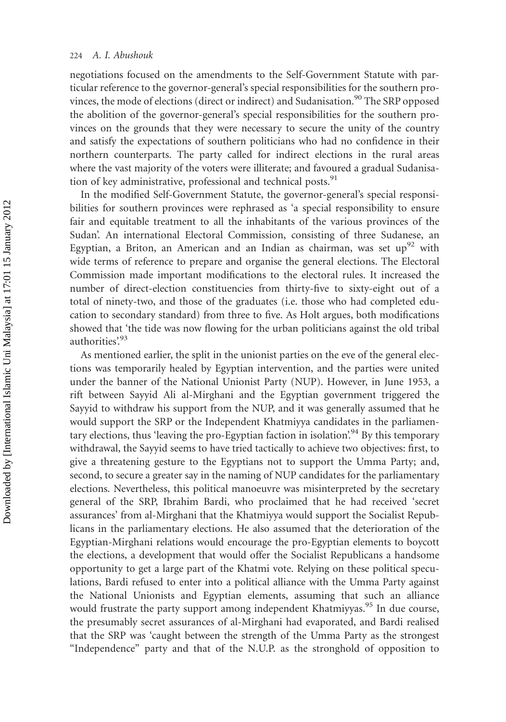negotiations focused on the amendments to the Self-Government Statute with particular reference to the governor-general's special responsibilities for the southern provinces, the mode of elections (direct or indirect) and Sudanisation.<sup>90</sup> The SRP opposed the abolition of the governor-general's special responsibilities for the southern provinces on the grounds that they were necessary to secure the unity of the country and satisfy the expectations of southern politicians who had no confidence in their northern counterparts. The party called for indirect elections in the rural areas where the vast majority of the voters were illiterate; and favoured a gradual Sudanisation of key administrative, professional and technical posts.<sup>91</sup>

In the modified Self-Government Statute, the governor-general's special responsibilities for southern provinces were rephrased as 'a special responsibility to ensure fair and equitable treatment to all the inhabitants of the various provinces of the Sudan'. An international Electoral Commission, consisting of three Sudanese, an Egyptian, a Briton, an American and an Indian as chairman, was set up<sup>92</sup> with wide terms of reference to prepare and organise the general elections. The Electoral Commission made important modifications to the electoral rules. It increased the number of direct-election constituencies from thirty-five to sixty-eight out of a total of ninety-two, and those of the graduates (i.e. those who had completed education to secondary standard) from three to five. As Holt argues, both modifications showed that 'the tide was now flowing for the urban politicians against the old tribal authorities'.93

As mentioned earlier, the split in the unionist parties on the eve of the general elections was temporarily healed by Egyptian intervention, and the parties were united under the banner of the National Unionist Party (NUP). However, in June 1953, a rift between Sayyid Ali al-Mirghani and the Egyptian government triggered the Sayyid to withdraw his support from the NUP, and it was generally assumed that he would support the SRP or the Independent Khatmiyya candidates in the parliamentary elections, thus 'leaving the pro-Egyptian faction in isolation'.<sup>94</sup> By this temporary withdrawal, the Sayyid seems to have tried tactically to achieve two objectives: first, to give a threatening gesture to the Egyptians not to support the Umma Party; and, second, to secure a greater say in the naming of NUP candidates for the parliamentary elections. Nevertheless, this political manoeuvre was misinterpreted by the secretary general of the SRP, Ibrahim Bardi, who proclaimed that he had received 'secret assurances' from al-Mirghani that the Khatmiyya would support the Socialist Republicans in the parliamentary elections. He also assumed that the deterioration of the Egyptian-Mirghani relations would encourage the pro-Egyptian elements to boycott the elections, a development that would offer the Socialist Republicans a handsome opportunity to get a large part of the Khatmi vote. Relying on these political speculations, Bardi refused to enter into a political alliance with the Umma Party against the National Unionists and Egyptian elements, assuming that such an alliance would frustrate the party support among independent Khatmiyyas.<sup>95</sup> In due course, the presumably secret assurances of al-Mirghani had evaporated, and Bardi realised that the SRP was 'caught between the strength of the Umma Party as the strongest "Independence" party and that of the N.U.P. as the stronghold of opposition to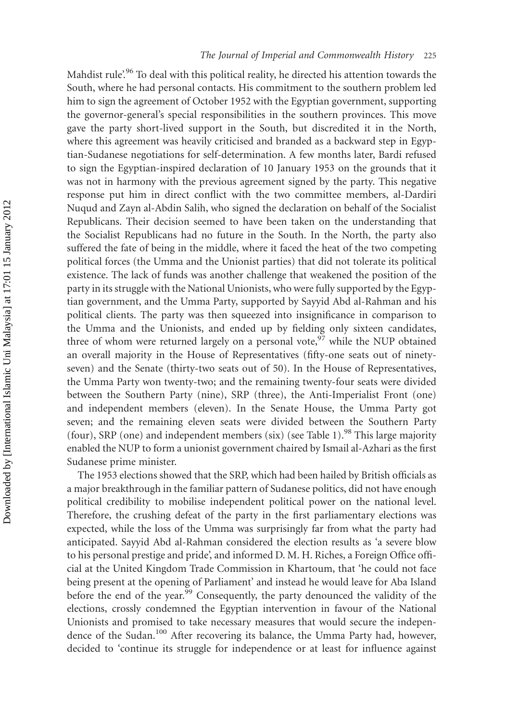Mahdist rule<sup>'.96</sup> To deal with this political reality, he directed his attention towards the South, where he had personal contacts. His commitment to the southern problem led him to sign the agreement of October 1952 with the Egyptian government, supporting the governor-general's special responsibilities in the southern provinces. This move gave the party short-lived support in the South, but discredited it in the North, where this agreement was heavily criticised and branded as a backward step in Egyptian-Sudanese negotiations for self-determination. A few months later, Bardi refused to sign the Egyptian-inspired declaration of 10 January 1953 on the grounds that it was not in harmony with the previous agreement signed by the party. This negative response put him in direct conflict with the two committee members, al-Dardiri Nuqud and Zayn al-Abdin Salih, who signed the declaration on behalf of the Socialist Republicans. Their decision seemed to have been taken on the understanding that the Socialist Republicans had no future in the South. In the North, the party also suffered the fate of being in the middle, where it faced the heat of the two competing political forces (the Umma and the Unionist parties) that did not tolerate its political existence. The lack of funds was another challenge that weakened the position of the party in its struggle with the National Unionists, who were fully supported by the Egyptian government, and the Umma Party, supported by Sayyid Abd al-Rahman and his political clients. The party was then squeezed into insignificance in comparison to the Umma and the Unionists, and ended up by fielding only sixteen candidates, three of whom were returned largely on a personal vote,  $97$  while the NUP obtained an overall majority in the House of Representatives (fifty-one seats out of ninetyseven) and the Senate (thirty-two seats out of 50). In the House of Representatives, the Umma Party won twenty-two; and the remaining twenty-four seats were divided between the Southern Party (nine), SRP (three), the Anti-Imperialist Front (one) and independent members (eleven). In the Senate House, the Umma Party got seven; and the remaining eleven seats were divided between the Southern Party (four), SRP (one) and independent members (six) (see Table 1).<sup>98</sup> This large majority enabled the NUP to form a unionist government chaired by Ismail al-Azhari as the first Sudanese prime minister.

The 1953 elections showed that the SRP, which had been hailed by British officials as a major breakthrough in the familiar pattern of Sudanese politics, did not have enough political credibility to mobilise independent political power on the national level. Therefore, the crushing defeat of the party in the first parliamentary elections was expected, while the loss of the Umma was surprisingly far from what the party had anticipated. Sayyid Abd al-Rahman considered the election results as 'a severe blow to his personal prestige and pride', and informed D. M. H. Riches, a Foreign Office official at the United Kingdom Trade Commission in Khartoum, that 'he could not face being present at the opening of Parliament' and instead he would leave for Aba Island before the end of the year.<sup>99</sup> Consequently, the party denounced the validity of the elections, crossly condemned the Egyptian intervention in favour of the National Unionists and promised to take necessary measures that would secure the independence of the Sudan.<sup>100</sup> After recovering its balance, the Umma Party had, however, decided to 'continue its struggle for independence or at least for influence against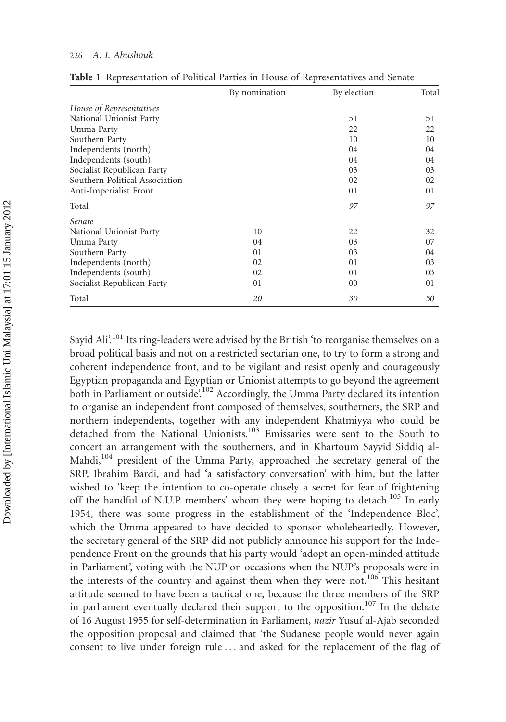| <b>Table 1</b> Representation of Political Parties in House of Representatives and Senate |  |
|-------------------------------------------------------------------------------------------|--|
|-------------------------------------------------------------------------------------------|--|

|                                | By nomination | By election | Total |
|--------------------------------|---------------|-------------|-------|
| House of Representatives       |               |             |       |
| National Unionist Party        |               | 51          | 51    |
| Umma Party                     |               | 22          | 22    |
| Southern Party                 |               | 10          | 10    |
| Independents (north)           |               | 04          | 04    |
| Independents (south)           |               | 04          | 04    |
| Socialist Republican Party     |               | 03          | 03    |
| Southern Political Association |               | 02          | 02    |
| Anti-Imperialist Front         |               | 01          | 01    |
| Total                          |               | 97          | 97    |
| Senate                         |               |             |       |
| National Unionist Party        | 10            | 22          | 32    |
| Umma Party                     | 04            | 03          | 07    |
| Southern Party                 | 01            | 03          | 04    |
| Independents (north)           | 02            | 01          | 03    |
| Independents (south)           | 02            | 01          | 03    |
| Socialist Republican Party     | 01            | 00          | 01    |
| Total                          | 20            | 30          | 50    |

Sayid Ali<sup>'101</sup> Its ring-leaders were advised by the British 'to reorganise themselves on a broad political basis and not on a restricted sectarian one, to try to form a strong and coherent independence front, and to be vigilant and resist openly and courageously Egyptian propaganda and Egyptian or Unionist attempts to go beyond the agreement both in Parliament or outside'.<sup>102</sup> Accordingly, the Umma Party declared its intention to organise an independent front composed of themselves, southerners, the SRP and northern independents, together with any independent Khatmiyya who could be detached from the National Unionists.103 Emissaries were sent to the South to concert an arrangement with the southerners, and in Khartoum Sayyid Siddiq al-Mahdi,<sup>104</sup> president of the Umma Party, approached the secretary general of the SRP, Ibrahim Bardi, and had 'a satisfactory conversation' with him, but the latter wished to 'keep the intention to co-operate closely a secret for fear of frightening off the handful of N.U.P members' whom they were hoping to detach.<sup>105</sup> In early 1954, there was some progress in the establishment of the 'Independence Bloc', which the Umma appeared to have decided to sponsor wholeheartedly. However, the secretary general of the SRP did not publicly announce his support for the Independence Front on the grounds that his party would 'adopt an open-minded attitude in Parliament', voting with the NUP on occasions when the NUP's proposals were in the interests of the country and against them when they were not.<sup>106</sup> This hesitant attitude seemed to have been a tactical one, because the three members of the SRP in parliament eventually declared their support to the opposition.<sup>107</sup> In the debate of 16 August 1955 for self-determination in Parliament, nazir Yusuf al-Ajab seconded the opposition proposal and claimed that 'the Sudanese people would never again consent to live under foreign rule ... and asked for the replacement of the flag of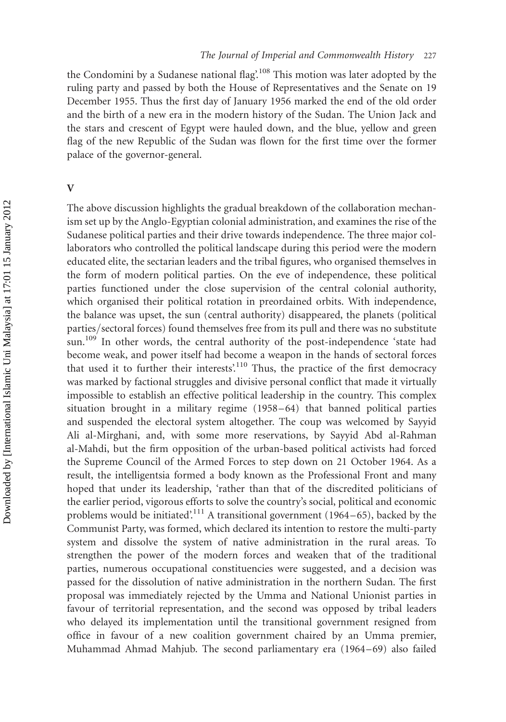the Condomini by a Sudanese national flag.<sup>108</sup> This motion was later adopted by the ruling party and passed by both the House of Representatives and the Senate on 19 December 1955. Thus the first day of January 1956 marked the end of the old order and the birth of a new era in the modern history of the Sudan. The Union Jack and the stars and crescent of Egypt were hauled down, and the blue, yellow and green flag of the new Republic of the Sudan was flown for the first time over the former palace of the governor-general.

#### V

The above discussion highlights the gradual breakdown of the collaboration mechanism set up by the Anglo-Egyptian colonial administration, and examines the rise of the Sudanese political parties and their drive towards independence. The three major collaborators who controlled the political landscape during this period were the modern educated elite, the sectarian leaders and the tribal figures, who organised themselves in the form of modern political parties. On the eve of independence, these political parties functioned under the close supervision of the central colonial authority, which organised their political rotation in preordained orbits. With independence, the balance was upset, the sun (central authority) disappeared, the planets (political parties/sectoral forces) found themselves free from its pull and there was no substitute sun.<sup>109</sup> In other words, the central authority of the post-independence 'state had become weak, and power itself had become a weapon in the hands of sectoral forces that used it to further their interests'.<sup>110</sup> Thus, the practice of the first democracy was marked by factional struggles and divisive personal conflict that made it virtually impossible to establish an effective political leadership in the country. This complex situation brought in a military regime (1958–64) that banned political parties and suspended the electoral system altogether. The coup was welcomed by Sayyid Ali al-Mirghani, and, with some more reservations, by Sayyid Abd al-Rahman al-Mahdi, but the firm opposition of the urban-based political activists had forced the Supreme Council of the Armed Forces to step down on 21 October 1964. As a result, the intelligentsia formed a body known as the Professional Front and many hoped that under its leadership, 'rather than that of the discredited politicians of the earlier period, vigorous efforts to solve the country's social, political and economic problems would be initiated'.<sup>111</sup> A transitional government (1964–65), backed by the Communist Party, was formed, which declared its intention to restore the multi-party system and dissolve the system of native administration in the rural areas. To strengthen the power of the modern forces and weaken that of the traditional parties, numerous occupational constituencies were suggested, and a decision was passed for the dissolution of native administration in the northern Sudan. The first proposal was immediately rejected by the Umma and National Unionist parties in favour of territorial representation, and the second was opposed by tribal leaders who delayed its implementation until the transitional government resigned from office in favour of a new coalition government chaired by an Umma premier, Muhammad Ahmad Mahjub. The second parliamentary era (1964–69) also failed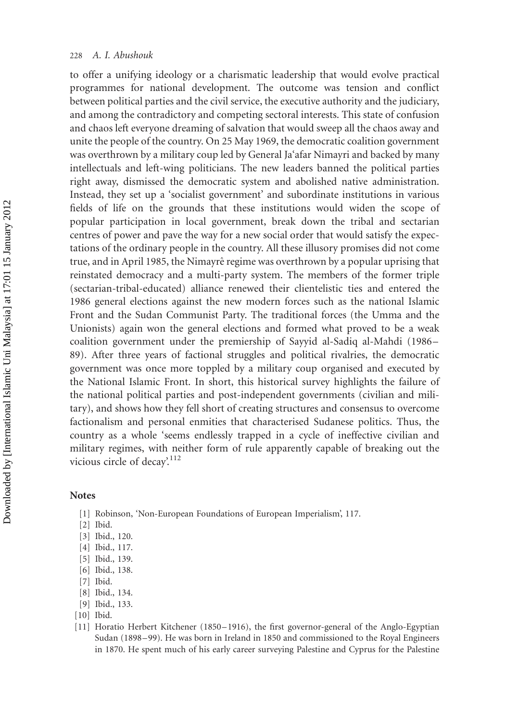to offer a unifying ideology or a charismatic leadership that would evolve practical programmes for national development. The outcome was tension and conflict between political parties and the civil service, the executive authority and the judiciary, and among the contradictory and competing sectoral interests. This state of confusion and chaos left everyone dreaming of salvation that would sweep all the chaos away and unite the people of the country. On 25 May 1969, the democratic coalition government was overthrown by a military coup led by General Ja'afar Nimayri and backed by many intellectuals and left-wing politicians. The new leaders banned the political parties right away, dismissed the democratic system and abolished native administration. Instead, they set up a 'socialist government' and subordinate institutions in various fields of life on the grounds that these institutions would widen the scope of popular participation in local government, break down the tribal and sectarian centres of power and pave the way for a new social order that would satisfy the expectations of the ordinary people in the country. All these illusory promises did not come true, and in April 1985, the Nimayreˆ regime was overthrown by a popular uprising that reinstated democracy and a multi-party system. The members of the former triple (sectarian-tribal-educated) alliance renewed their clientelistic ties and entered the 1986 general elections against the new modern forces such as the national Islamic Front and the Sudan Communist Party. The traditional forces (the Umma and the Unionists) again won the general elections and formed what proved to be a weak coalition government under the premiership of Sayyid al-Sadiq al-Mahdi (1986– 89). After three years of factional struggles and political rivalries, the democratic government was once more toppled by a military coup organised and executed by the National Islamic Front. In short, this historical survey highlights the failure of the national political parties and post-independent governments (civilian and military), and shows how they fell short of creating structures and consensus to overcome factionalism and personal enmities that characterised Sudanese politics. Thus, the country as a whole 'seems endlessly trapped in a cycle of ineffective civilian and military regimes, with neither form of rule apparently capable of breaking out the vicious circle of decay'.<sup>112</sup>

#### Notes

- [1] Robinson, 'Non-European Foundations of European Imperialism', 117.
- [2] Ibid.
- [3] Ibid., 120.
- [4] Ibid., 117.
- [5] Ibid., 139.
- [6] Ibid., 138.
- [7] Ibid.
- [8] Ibid., 134.
- [9] Ibid., 133.
- [10] Ibid.
- [11] Horatio Herbert Kitchener (1850–1916), the first governor-general of the Anglo-Egyptian Sudan (1898–99). He was born in Ireland in 1850 and commissioned to the Royal Engineers in 1870. He spent much of his early career surveying Palestine and Cyprus for the Palestine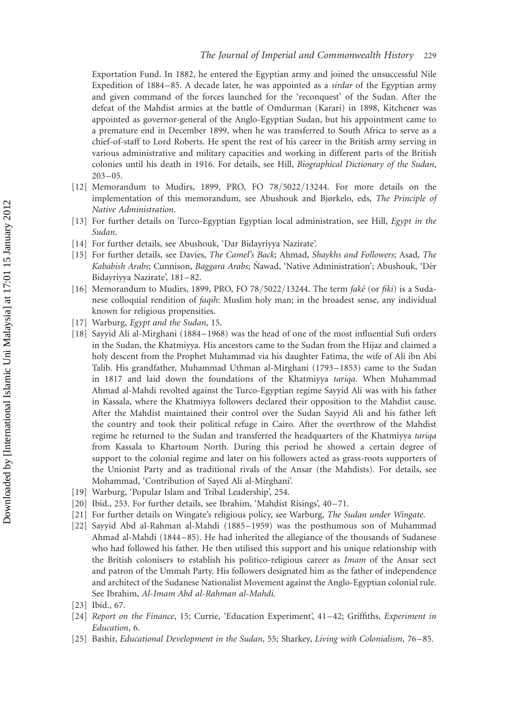Exportation Fund. In 1882, he entered the Egyptian army and joined the unsuccessful Nile Expedition of 1884–85. A decade later, he was appointed as a sirdar of the Egyptian army and given command of the forces launched for the 'reconquest' of the Sudan. After the defeat of the Mahdist armies at the battle of Omdurman (Karari) in 1898, Kitchener was appointed as governor-general of the Anglo-Egyptian Sudan, but his appointment came to a premature end in December 1899, when he was transferred to South Africa to serve as a chief-of-staff to Lord Roberts. He spent the rest of his career in the British army serving in various administrative and military capacities and working in different parts of the British colonies until his death in 1916. For details, see Hill, Biographical Dictionary of the Sudan,  $203 - 05$ .

- [12] Memorandum to Mudirs, 1899, PRO, FO 78/5022/13244. For more details on the implementation of this memorandum, see Abushouk and Bjørkelo, eds, The Principle of Native Administration.
- [13] For further details on Turco-Egyptian Egyptian local administration, see Hill, Egypt in the Sudan.
- [14] For further details, see Abushouk, 'Dar Bidayriyya Nazirate'.
- [15] For further details, see Davies, The Camel's Back; Ahmad, Shaykhs and Followers; Asad, The Kababish Arabs; Cunnison, Baggara Arabs; Ñawad, 'Native Administration'; Abushouk, 'Dér Bidayriyya Nazirate', 181–82.
- [16] Memorandum to Mudirs, 1899, PRO, FO 78/5022/13244. The term fakê (or fiki) is a Sudanese colloquial rendition of faqih: Muslim holy man; in the broadest sense, any individual known for religious propensities.
- [17] Warburg, Egypt and the Sudan, 15.
- [18] Sayyid Ali al-Mirghani (1884–1968) was the head of one of the most influential Sufi orders in the Sudan, the Khatmiyya. His ancestors came to the Sudan from the Hijaz and claimed a holy descent from the Prophet Muhammad via his daughter Fatima, the wife of Ali ibn Abi Talib. His grandfather, Muhammad Uthman al-Mirghani (1793–1853) came to the Sudan in 1817 and laid down the foundations of the Khatmiyya tariqa. When Muhammad Ahmad al-Mahdi revolted against the Turco-Egyptian regime Sayyid Ali was with his father in Kassala, where the Khatmiyya followers declared their opposition to the Mahdist cause. After the Mahdist maintained their control over the Sudan Sayyid Ali and his father left the country and took their political refuge in Cairo. After the overthrow of the Mahdist regime he returned to the Sudan and transferred the headquarters of the Khatmiyya tariqa from Kassala to Khartoum North. During this period he showed a certain degree of support to the colonial regime and later on his followers acted as grass-roots supporters of the Unionist Party and as traditional rivals of the Ansar (the Mahdists). For details, see Mohammad, 'Contribution of Sayed Ali al-Mirghani'.
- [19] Warburg, 'Popular Islam and Tribal Leadership', 254.
- [20] Ibid., 253. For further details, see Ibrahim, 'Mahdist Risings', 40–71.
- [21] For further details on Wingate's religious policy, see Warburg, The Sudan under Wingate.
- [22] Sayyid Abd al-Rahman al-Mahdi (1885–1959) was the posthumous son of Muhammad Ahmad al-Mahdi (1844–85). He had inherited the allegiance of the thousands of Sudanese who had followed his father. He then utilised this support and his unique relationship with the British colonisers to establish his politico-religious career as Imam of the Ansar sect and patron of the Ummah Party. His followers designated him as the father of independence and architect of the Sudanese Nationalist Movement against the Anglo-Egyptian colonial rule. See Ibrahim, Al-Imam Abd al-Rahman al-Mahdi.
- [23] Ibid., 67.
- [24] Report on the Finance, 15; Currie, 'Education Experiment', 41–42; Griffiths, Experiment in Education, 6.
- [25] Bashir, Educational Development in the Sudan, 55; Sharkey, Living with Colonialism, 76–85.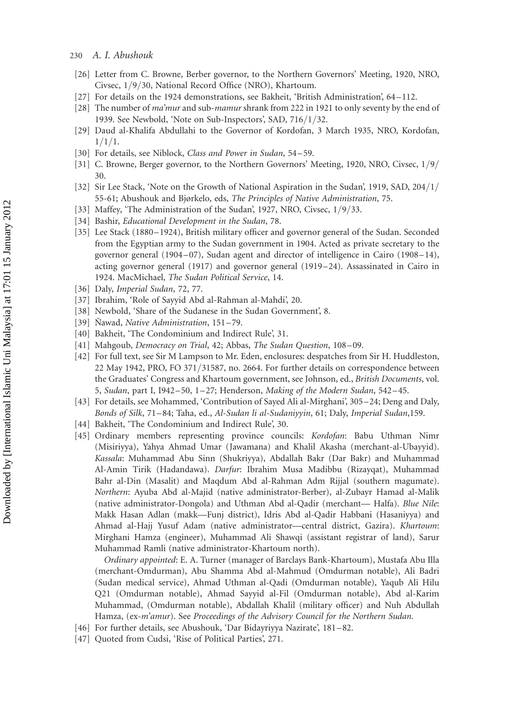- 230 A. I. Abushouk
- [26] Letter from C. Browne, Berber governor, to the Northern Governors' Meeting, 1920, NRO, Civsec, 1/9/30, National Record Office (NRO), Khartoum.
- [27] For details on the 1924 demonstrations, see Bakheit, 'British Administration', 64–112.
- [28] The number of *ma'mur* and sub-*mamur* shrank from 222 in 1921 to only seventy by the end of 1939. See Newbold, 'Note on Sub-Inspectors', SAD, 716/1/32.
- [29] Daud al-Khalifa Abdullahi to the Governor of Kordofan, 3 March 1935, NRO, Kordofan,  $1/1/1$ .
- [30] For details, see Niblock, Class and Power in Sudan, 54–59.
- [31] C. Browne, Berger governor, to the Northern Governors' Meeting, 1920, NRO, Civsec, 1/9/ 30.
- [32] Sir Lee Stack, 'Note on the Growth of National Aspiration in the Sudan', 1919, SAD, 204/1/ 55-61; Abushouk and Bjørkelo, eds, The Principles of Native Administration, 75.
- [33] Maffey, 'The Administration of the Sudan', 1927, NRO, Civsec, 1/9/33.
- [34] Bashir, Educational Development in the Sudan, 78.
- [35] Lee Stack (1880–1924), British military officer and governor general of the Sudan. Seconded from the Egyptian army to the Sudan government in 1904. Acted as private secretary to the governor general (1904–07), Sudan agent and director of intelligence in Cairo (1908–14), acting governor general (1917) and governor general (1919–24). Assassinated in Cairo in 1924. MacMichael, The Sudan Political Service, 14.
- [36] Daly, Imperial Sudan, 72, 77.
- [37] Ibrahim, 'Role of Sayyid Abd al-Rahman al-Mahdi', 20.
- [38] Newbold, 'Share of the Sudanese in the Sudan Government', 8.
- [39] Nawad, Native Administration, 151-79.
- [40] Bakheit, 'The Condominium and Indirect Rule', 31.
- [41] Mahgoub, Democracy on Trial, 42; Abbas, The Sudan Question, 108-09.
- [42] For full text, see Sir M Lampson to Mr. Eden, enclosures: despatches from Sir H. Huddleston, 22 May 1942, PRO, FO 371/31587, no. 2664. For further details on correspondence between the Graduates' Congress and Khartoum government, see Johnson, ed., British Documents, vol. 5, Sudan, part I, I942–50, 1–27; Henderson, Making of the Modern Sudan, 542–45.
- [43] For details, see Mohammed, 'Contribution of Sayed Ali al-Mirghani', 305–24; Deng and Daly, Bonds of Silk, 71–84; Taha, ed., Al-Sudan li al-Sudaniyyin, 61; Daly, Imperial Sudan,159.
- [44] Bakheit, 'The Condominium and Indirect Rule', 30.
- [45] Ordinary members representing province councils: Kordofan: Babu Uthman Nimr (Misiriyya), Yahya Ahmad Umar (Jawamana) and Khalil Akasha (merchant-al-Ubayyid). Kassala: Muhammad Abu Sinn (Shukriyya), Abdallah Bakr (Dar Bakr) and Muhammad Al-Amin Tirik (Hadandawa). Darfur: Ibrahim Musa Madibbu (Rizayqat), Muhammad Bahr al-Din (Masalit) and Maqdum Abd al-Rahman Adm Rijjal (southern magumate). Northern: Ayuba Abd al-Majid (native administrator-Berber), al-Zubayr Hamad al-Malik (native administrator-Dongola) and Uthman Abd al-Qadir (merchant— Halfa). Blue Nile: Makk Hasan Adlan (makk—Funj district), Idris Abd al-Qadir Habbani (Hasaniyya) and Ahmad al-Hajj Yusuf Adam (native administrator—central district, Gazira). Khartoum: Mirghani Hamza (engineer), Muhammad Ali Shawqi (assistant registrar of land), Sarur Muhammad Ramli (native administrator-Khartoum north).

Ordinary appointed: E. A. Turner (manager of Barclays Bank-Khartoum), Mustafa Abu Illa (merchant-Omdurman), Abu Shamma Abd al-Mahmud (Omdurman notable), Ali Badri (Sudan medical service), Ahmad Uthman al-Qadi (Omdurman notable), Yaqub Ali Hilu Q21 (Omdurman notable), Ahmad Sayyid al-Fil (Omdurman notable), Abd al-Karim Muhammad, (Omdurman notable), Abdallah Khalil (military officer) and Nuh Abdullah Hamza, (ex-m'amur). See Proceedings of the Advisory Council for the Northern Sudan.

- [46] For further details, see Abushouk, 'Dar Bidayriyya Nazirate', 181–82.
- [47] Quoted from Cudsi, 'Rise of Political Parties', 271.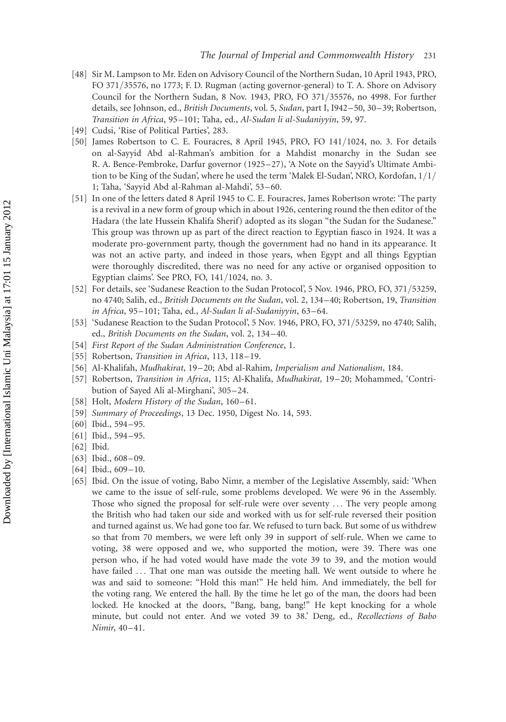- [48] Sir M. Lampson to Mr. Eden on Advisory Council of the Northern Sudan, 10 April 1943, PRO, FO 371/35576, no 1773; F. D. Rugman (acting governor-general) to T. A. Shore on Advisory Council for the Northern Sudan, 8 Nov. 1943, PRO, FO 371/35576, no 4998. For further details, see Johnson, ed., British Documents, vol. 5, Sudan, part I, I942–50, 30–39; Robertson, Transition in Africa, 95–101; Taha, ed., Al-Sudan li al-Sudaniyyin, 59, 97.
- [49] Cudsi, 'Rise of Political Parties', 283.
- [50] James Robertson to C. E. Fouracres, 8 April 1945, PRO, FO 141/1024, no. 3. For details on al-Sayyid Abd al-Rahman's ambition for a Mahdist monarchy in the Sudan see R. A. Bence-Pembroke, Darfur governor (1925–27), 'A Note on the Sayyid's Ultimate Ambition to be King of the Sudan', where he used the term 'Malek El-Sudan', NRO, Kordofan, 1/1/ 1; Taha, 'Sayyid Abd al-Rahman al-Mahdi', 53–60.
- [51] In one of the letters dated 8 April 1945 to C. E. Fouracres, James Robertson wrote: 'The party is a revival in a new form of group which in about 1926, centering round the then editor of the Hadara (the late Hussein Khalifa Sherif) adopted as its slogan "the Sudan for the Sudanese." This group was thrown up as part of the direct reaction to Egyptian fiasco in 1924. It was a moderate pro-government party, though the government had no hand in its appearance. It was not an active party, and indeed in those years, when Egypt and all things Egyptian were thoroughly discredited, there was no need for any active or organised opposition to Egyptian claims'. See PRO, FO, 141/1024, no. 3.
- [52] For details, see 'Sudanese Reaction to the Sudan Protocol', 5 Nov. 1946, PRO, FO, 371/53259, no 4740; Salih, ed., British Documents on the Sudan, vol. 2, 134–40; Robertson, 19, Transition in Africa, 95–101; Taha, ed., Al-Sudan li al-Sudaniyyin, 63–64.
- [53] 'Sudanese Reaction to the Sudan Protocol', 5 Nov. 1946, PRO, FO, 371/53259, no 4740; Salih, ed., British Documents on the Sudan, vol. 2, 134–40.
- [54] First Report of the Sudan Administration Conference, 1.
- [55] Robertson, Transition in Africa, 113, 118–19.
- [56] Al-Khalifah, Mudhakirat, 19–20; Abd al-Rahim, Imperialism and Nationalism, 184.
- [57] Robertson, Transition in Africa, 115; Al-Khalifa, Mudhakirat, 19–20; Mohammed, 'Contribution of Sayed Ali al-Mirghani', 305–24.
- [58] Holt, Modern History of the Sudan, 160–61.
- [59] Summary of Proceedings, 13 Dec. 1950, Digest No. 14, 593.
- [60] Ibid., 594-95.
- [61] Ibid., 594–95.
- [62] Ibid.
- [63] Ibid., 608-09.
- [64] Ibid., 609-10.
- [65] Ibid. On the issue of voting, Babo Nimr, a member of the Legislative Assembly, said: 'When we came to the issue of self-rule, some problems developed. We were 96 in the Assembly. Those who signed the proposal for self-rule were over seventy ... The very people among the British who had taken our side and worked with us for self-rule reversed their position and turned against us. We had gone too far. We refused to turn back. But some of us withdrew so that from 70 members, we were left only 39 in support of self-rule. When we came to voting, 38 were opposed and we, who supported the motion, were 39. There was one person who, if he had voted would have made the vote 39 to 39, and the motion would have failed ... That one man was outside the meeting hall. We went outside to where he was and said to someone: "Hold this man!" He held him. And immediately, the bell for the voting rang. We entered the hall. By the time he let go of the man, the doors had been locked. He knocked at the doors, "Bang, bang, bang!" He kept knocking for a whole minute, but could not enter. And we voted 39 to 38.' Deng, ed., Recollections of Babo Nimir, 40–41.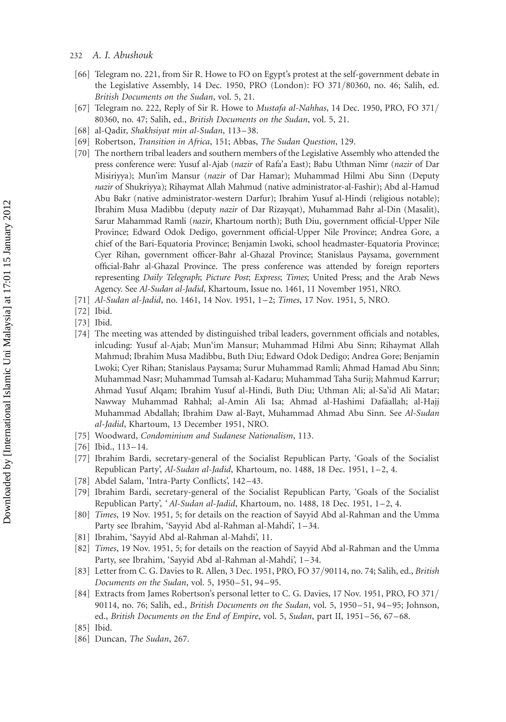- 232 A. I. Abushouk
	- [66] Telegram no. 221, from Sir R. Howe to FO on Egypt's protest at the self-government debate in the Legislative Assembly, 14 Dec. 1950, PRO (London): FO 371/80360, no. 46; Salih, ed. British Documents on the Sudan, vol. 5, 21.
- [67] Telegram no. 222, Reply of Sir R. Howe to Mustafa al-Nahhas, 14 Dec. 1950, PRO, FO 371/ 80360, no. 47; Salih, ed., British Documents on the Sudan, vol. 5, 21.
- [68] al-Qadir, Shakhsiyat min al-Sudan, 113–38.
- [69] Robertson, Transition in Africa, 151; Abbas, The Sudan Question, 129.
- [70] The northern tribal leaders and southern members of the Legislative Assembly who attended the press conference were: Yusuf al-Ajab (nazir of Rafa'a East); Babu Uthman Nimr (nazir of Dar Misiriyya); Mun'im Mansur (nazir of Dar Hamar); Muhammad Hilmi Abu Sinn (Deputy nazir of Shukriyya); Rihaymat Allah Mahmud (native administrator-al-Fashir); Abd al-Hamud Abu Bakr (native administrator-western Darfur); Ibrahim Yusuf al-Hindi (religious notable); Ibrahim Musa Madibbu (deputy nazir of Dar Rizayqat), Muhammad Bahr al-Din (Masalit), Sarur Mahammad Ramli (nazir, Khartoum north); Buth Diu, government official-Upper Nile Province; Edward Odok Dedigo, government official-Upper Nile Province; Andrea Gore, a chief of the Bari-Equatoria Province; Benjamin Lwoki, school headmaster-Equatoria Province; Cyer Rihan, government officer-Bahr al-Ghazal Province; Stanislaus Paysama, government official-Bahr al-Ghazal Province. The press conference was attended by foreign reporters representing Daily Telegraph; Picture Post; Express; Times; United Press; and the Arab News Agency. See Al-Sudan al-Jadid, Khartoum, Issue no. 1461, 11 November 1951, NRO.
- [71] Al-Sudan al-Jadid, no. 1461, 14 Nov. 1951, 1–2; Times, 17 Nov. 1951, 5, NRO.
- [72] Ibid.
- [73] Ibid.
- [74] The meeting was attended by distinguished tribal leaders, government officials and notables, inlcuding: Yusuf al-Ajab; Mun'im Mansur; Muhammad Hilmi Abu Sinn; Rihaymat Allah Mahmud; Ibrahim Musa Madibbu, Buth Diu; Edward Odok Dedigo; Andrea Gore; Benjamin Lwoki; Cyer Rihan; Stanislaus Paysama; Surur Muhammad Ramli; Ahmad Hamad Abu Sinn; Muhammad Nasr; Muhammad Tumsah al-Kadaru; Muhammad Taha Surij; Mahmud Karrur; Ahmad Yusuf Alqam; Ibrahim Yusuf al-Hindi, Buth Diu; Uthman Ali; al-Sa'id Ali Matar; Nawway Muhammad Rahhal; al-Amin Ali Isa; Ahmad al-Hashimi Dafa´allah; al-Hajj Muhammad Abdallah; Ibrahim Daw al-Bayt, Muhammad Ahmad Abu Sinn. See Al-Sudan al-Jadid, Khartoum, 13 December 1951, NRO.
- [75] Woodward, Condominium and Sudanese Nationalism, 113.
- [76] Ibid., 113-14.
- [77] Ibrahim Bardi, secretary-general of the Socialist Republican Party, 'Goals of the Socialist Republican Party', Al-Sudan al-Jadid, Khartoum, no. 1488, 18 Dec. 1951, 1–2, 4.
- [78] Abdel Salam, 'Intra-Party Conflicts', 142–43.
- [79] Ibrahim Bardi, secretary-general of the Socialist Republican Party, 'Goals of the Socialist Republican Party', ' Al-Sudan al-Jadid, Khartoum, no. 1488, 18 Dec. 1951, 1–2, 4.
- [80] Times, 19 Nov. 1951, 5; for details on the reaction of Sayyid Abd al-Rahman and the Umma Party see Ibrahim, 'Sayyid Abd al-Rahman al-Mahdi', 1–34.
- [81] Ibrahim, 'Sayyid Abd al-Rahman al-Mahdi', 11.
- [82] Times, 19 Nov. 1951, 5; for details on the reaction of Sayyid Abd al-Rahman and the Umma Party, see Ibrahim, 'Sayyid Abd al-Rahman al-Mahdi', 1–34.
- [83] Letter from C. G. Davies to R. Allen, 3 Dec. 1951, PRO, FO 37/90114, no. 74; Salih, ed., British Documents on the Sudan, vol. 5, 1950–51, 94–95.
- [84] Extracts from James Robertson's personal letter to C. G. Davies, 17 Nov. 1951, PRO, FO 371/ 90114, no. 76; Salih, ed., British Documents on the Sudan, vol. 5, 1950–51, 94–95; Johnson, ed., British Documents on the End of Empire, vol. 5, Sudan, part II, 1951–56, 67–68.
- [85] Ibid.
- [86] Duncan, The Sudan, 267.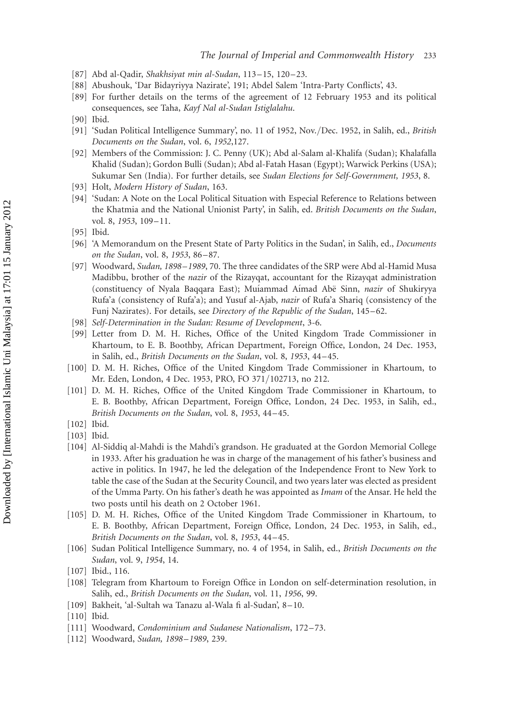- [87] Abd al-Qadir, Shakhsiyat min al-Sudan, 113–15, 120–23.
- [88] Abushouk, 'Dar Bidayriyya Nazirate', 191; Abdel Salem 'Intra-Party Conflicts', 43.
- [89] For further details on the terms of the agreement of 12 February 1953 and its political consequences, see Taha, Kayf Nal al-Sudan Istiglalahu.
- [90] Ibid.
- [91] 'Sudan Political Intelligence Summary', no. 11 of 1952, Nov./Dec. 1952, in Salih, ed., British Documents on the Sudan, vol. 6, 1952,127.
- [92] Members of the Commission: J. C. Penny (UK); Abd al-Salam al-Khalifa (Sudan); Khalafalla Khalid (Sudan); Gordon Bulli (Sudan); Abd al-Fatah Hasan (Egypt); Warwick Perkins (USA); Sukumar Sen (India). For further details, see Sudan Elections for Self-Government, 1953, 8.
- [93] Holt, Modern History of Sudan, 163.
- [94] 'Sudan: A Note on the Local Political Situation with Especial Reference to Relations between the Khatmia and the National Unionist Party', in Salih, ed. British Documents on the Sudan, vol. 8, 1953, 109–11.
- [95] Ibid.
- [96] 'A Memorandum on the Present State of Party Politics in the Sudan', in Salih, ed., Documents on the Sudan, vol. 8, 1953, 86–87.
- [97] Woodward, Sudan, 1898-1989, 70. The three candidates of the SRP were Abd al-Hamid Musa Madibbu, brother of the nazir of the Rizayqat, accountant for the Rizayqat administration (constituency of Nyala Baqqara East); Muíammad Aímad Abë Sinn, nazir of Shukiryya Rufa'a (consistency of Rufa'a); and Yusuf al-Ajab, nazir of Rufa'a Shariq (consistency of the Funj Nazirates). For details, see Directory of the Republic of the Sudan, 145–62.
- [98] Self-Determination in the Sudan: Resume of Development, 3-6.
- [99] Letter from D. M. H. Riches, Office of the United Kingdom Trade Commissioner in Khartoum, to E. B. Boothby, African Department, Foreign Office, London, 24 Dec. 1953, in Salih, ed., British Documents on the Sudan, vol. 8, 1953, 44–45.
- [100] D. M. H. Riches, Office of the United Kingdom Trade Commissioner in Khartoum, to Mr. Eden, London, 4 Dec. 1953, PRO, FO 371/102713, no 212.
- [101] D. M. H. Riches, Office of the United Kingdom Trade Commissioner in Khartoum, to E. B. Boothby, African Department, Foreign Office, London, 24 Dec. 1953, in Salih, ed., British Documents on the Sudan, vol. 8, 1953, 44–45.
- [102] Ibid.
- [103] Ibid.
- [104] Al-Siddiq al-Mahdi is the Mahdi's grandson. He graduated at the Gordon Memorial College in 1933. After his graduation he was in charge of the management of his father's business and active in politics. In 1947, he led the delegation of the Independence Front to New York to table the case of the Sudan at the Security Council, and two years later was elected as president of the Umma Party. On his father's death he was appointed as Imam of the Ansar. He held the two posts until his death on 2 October 1961.
- [105] D. M. H. Riches, Office of the United Kingdom Trade Commissioner in Khartoum, to E. B. Boothby, African Department, Foreign Office, London, 24 Dec. 1953, in Salih, ed., British Documents on the Sudan, vol. 8, 1953, 44–45.
- [106] Sudan Political Intelligence Summary, no. 4 of 1954, in Salih, ed., British Documents on the Sudan, vol. 9, 1954, 14.
- [107] Ibid., 116.
- [108] Telegram from Khartoum to Foreign Office in London on self-determination resolution, in Salih, ed., British Documents on the Sudan, vol. 11, 1956, 99.
- [109] Bakheit, 'al-Sultah wa Tanazu al-Wala fi al-Sudan', 8–10.
- [110] Ibid.
- [111] Woodward, Condominium and Sudanese Nationalism, 172–73.
- [112] Woodward, Sudan, 1898–1989, 239.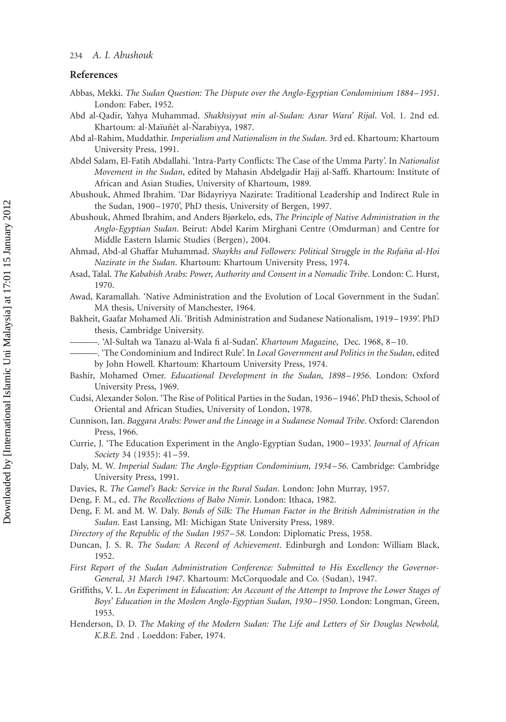#### References

- Abbas, Mekki. The Sudan Question: The Dispute over the Anglo-Egyptian Condominium 1884–1951. London: Faber, 1952.
- Abd al-Qadir, Yahya Muhammad. Shakhsiyyat min al-Sudan: Asrar Wara' Rijal. Vol. 1. 2nd ed. Khartoum: al-Maïuñét al-Ñarabiyya, 1987.
- Abd al-Rahim, Muddathir. Imperialism and Nationalism in the Sudan. 3rd ed. Khartoum: Khartoum University Press, 1991.
- Abdel Salam, El-Fatih Abdallahi. 'Intra-Party Conflicts: The Case of the Umma Party'. In Nationalist Movement in the Sudan, edited by Mahasin Abdelgadir Hajj al-Saffi. Khartoum: Institute of African and Asian Studies, University of Khartoum, 1989.
- Abushouk, Ahmed Ibrahim. 'Dar Bidayriyya Nazirate: Traditional Leadership and Indirect Rule in the Sudan, 1900–1970', PhD thesis, University of Bergen, 1997.
- Abushouk, Ahmed Ibrahim, and Anders Bjørkelo, eds, The Principle of Native Administration in the Anglo-Egyptian Sudan. Beirut: Abdel Karim Mirghani Centre (Omdurman) and Centre for Middle Eastern Islamic Studies (Bergen), 2004.
- Ahmad, Abd-al Ghaffar Muhammad. Shaykhs and Followers: Political Struggle in the Rufaña al-Hoi Nazirate in the Sudan. Khartoum: Khartoum University Press, 1974.
- Asad, Talal. The Kababish Arabs: Power, Authority and Consent in a Nomadic Tribe. London: C. Hurst, 1970.
- Awad, Karamallah. 'Native Administration and the Evolution of Local Government in the Sudan'. MA thesis, University of Manchester, 1964.
- Bakheit, Gaafar Mohamed Ali. 'British Administration and Sudanese Nationalism, 1919–1939'. PhD thesis, Cambridge University.
	- -. 'Al-Sultah wa Tanazu al-Wala fi al-Sudan'. Khartoum Magazine, Dec. 1968, 8-10.
	- ———. 'The Condominium and Indirect Rule'. In Local Government and Politics in the Sudan, edited by John Howell. Khartoum: Khartoum University Press, 1974.
- Bashir, Mohamed Omer. Educational Development in the Sudan, 1898–1956. London: Oxford University Press, 1969.
- Cudsi, Alexander Solon. 'The Rise of Political Parties in the Sudan, 1936–1946'. PhD thesis, School of Oriental and African Studies, University of London, 1978.
- Cunnison, Ian. Baggara Arabs: Power and the Lineage in a Sudanese Nomad Tribe. Oxford: Clarendon Press, 1966.
- Currie, J. 'The Education Experiment in the Anglo-Egyptian Sudan, 1900–1933'. Journal of African Society 34 (1935): 41–59.
- Daly, M. W. Imperial Sudan: The Anglo-Egyptian Condominium, 1934–56. Cambridge: Cambridge University Press, 1991.
- Davies, R. The Camel's Back: Service in the Rural Sudan. London: John Murray, 1957.
- Deng, F. M., ed. The Recollections of Babo Nimir. London: Ithaca, 1982.
- Deng, F. M. and M. W. Daly. Bonds of Silk: The Human Factor in the British Administration in the Sudan. East Lansing, MI: Michigan State University Press, 1989.
- Directory of the Republic of the Sudan 1957 –58. London: Diplomatic Press, 1958.
- Duncan, J. S. R. The Sudan: A Record of Achievement. Edinburgh and London: William Black, 1952.
- First Report of the Sudan Administration Conference: Submitted to His Excellency the Governor-General, 31 March 1947. Khartoum: McCorquodale and Co. (Sudan), 1947.
- Griffiths, V. L. An Experiment in Education: An Account of the Attempt to Improve the Lower Stages of Boys' Education in the Moslem Anglo-Egyptian Sudan, 1930 –1950. London: Longman, Green, 1953.
- Henderson, D. D. The Making of the Modern Sudan: The Life and Letters of Sir Douglas Newbold, K.B.E. 2nd . Loeddon: Faber, 1974.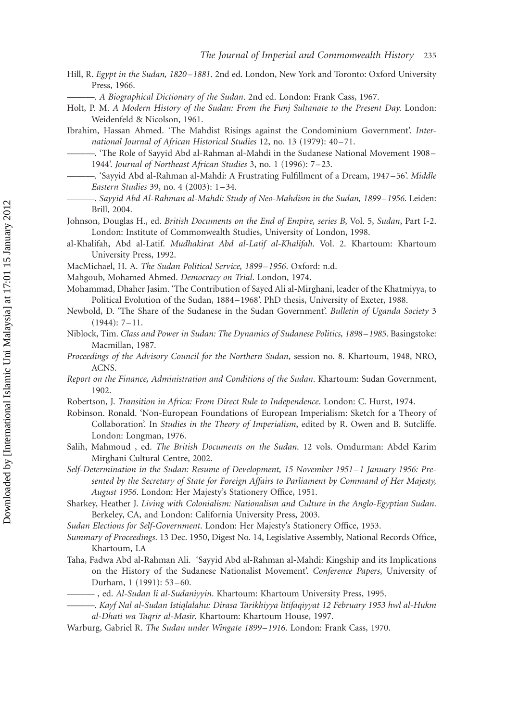- Hill, R. Egypt in the Sudan, 1820 –1881. 2nd ed. London, New York and Toronto: Oxford University Press, 1966.
	- ———. A Biographical Dictionary of the Sudan. 2nd ed. London: Frank Cass, 1967.
- Holt, P. M. A Modern History of the Sudan: From the Funj Sultanate to the Present Day. London: Weidenfeld & Nicolson, 1961.
- Ibrahim, Hassan Ahmed. 'The Mahdist Risings against the Condominium Government'. International Journal of African Historical Studies 12, no. 13 (1979): 40–71.
	- ———. 'The Role of Sayyid Abd al-Rahman al-Mahdi in the Sudanese National Movement 1908– 1944'. Journal of Northeast African Studies 3, no. 1 (1996): 7–23.
		- ———. 'Sayyid Abd al-Rahman al-Mahdi: A Frustrating Fulfillment of a Dream, 1947–56'. Middle Eastern Studies 39, no. 4 (2003): 1–34.
	- ———. Sayyid Abd Al-Rahman al-Mahdi: Study of Neo-Mahdism in the Sudan, 1899–1956. Leiden: Brill, 2004.
- Johnson, Douglas H., ed. British Documents on the End of Empire, series B, Vol. 5, Sudan, Part I-2. London: Institute of Commonwealth Studies, University of London, 1998.
- al-Khalifah, Abd al-Latif. Mudhakirat Abd al-Latif al-Khalifah. Vol. 2. Khartoum: Khartoum University Press, 1992.
- MacMichael, H. A. The Sudan Political Service, 1899 –1956. Oxford: n.d.
- Mahgoub, Mohamed Ahmed. Democracy on Trial. London, 1974.
- Mohammad, Dhaher Jasim. 'The Contribution of Sayed Ali al-Mirghani, leader of the Khatmiyya, to Political Evolution of the Sudan, 1884–1968'. PhD thesis, University of Exeter, 1988.
- Newbold, D. 'The Share of the Sudanese in the Sudan Government'. Bulletin of Uganda Society 3 (1944): 7–11.
- Niblock, Tim. Class and Power in Sudan: The Dynamics of Sudanese Politics, 1898 –1985. Basingstoke: Macmillan, 1987.
- Proceedings of the Advisory Council for the Northern Sudan, session no. 8. Khartoum, 1948, NRO, ACNS.
- Report on the Finance, Administration and Conditions of the Sudan. Khartoum: Sudan Government, 1902.
- Robertson, J. Transition in Africa: From Direct Rule to Independence. London: C. Hurst, 1974.
- Robinson. Ronald. 'Non-European Foundations of European Imperialism: Sketch for a Theory of Collaboration'. In Studies in the Theory of Imperialism, edited by R. Owen and B. Sutcliffe. London: Longman, 1976.
- Salih, Mahmoud , ed. The British Documents on the Sudan. 12 vols. Omdurman: Abdel Karim Mirghani Cultural Centre, 2002.
- Self-Determination in the Sudan: Resume of Development, 15 November 1951–1 January 1956: Presented by the Secretary of State for Foreign Affairs to Parliament by Command of Her Majesty, August 1956. London: Her Majesty's Stationery Office, 1951.
- Sharkey, Heather J. Living with Colonialism: Nationalism and Culture in the Anglo-Egyptian Sudan. Berkeley, CA, and London: California University Press, 2003.
- Sudan Elections for Self-Government. London: Her Majesty's Stationery Office, 1953.
- Summary of Proceedings. 13 Dec. 1950, Digest No. 14, Legislative Assembly, National Records Office, Khartoum, LA
- Taha, Fadwa Abd al-Rahman Ali. 'Sayyid Abd al-Rahman al-Mahdi: Kingship and its Implications on the History of the Sudanese Nationalist Movement'. Conference Papers, University of Durham, 1 (1991): 53–60.
	- ——— , ed. Al-Sudan li al-Sudaniyyin. Khartoum: Khartoum University Press, 1995.
	- ———. Kayf Nal al-Sudan Istiqlalahu: Dirasa Tarikhiyya litifaqiyyat 12 February 1953 hwl al-Hukm al-Dhati wa Taqrir al-Masīr. Khartoum: Khartoum House, 1997.
- Warburg, Gabriel R. The Sudan under Wingate 1899–1916. London: Frank Cass, 1970.